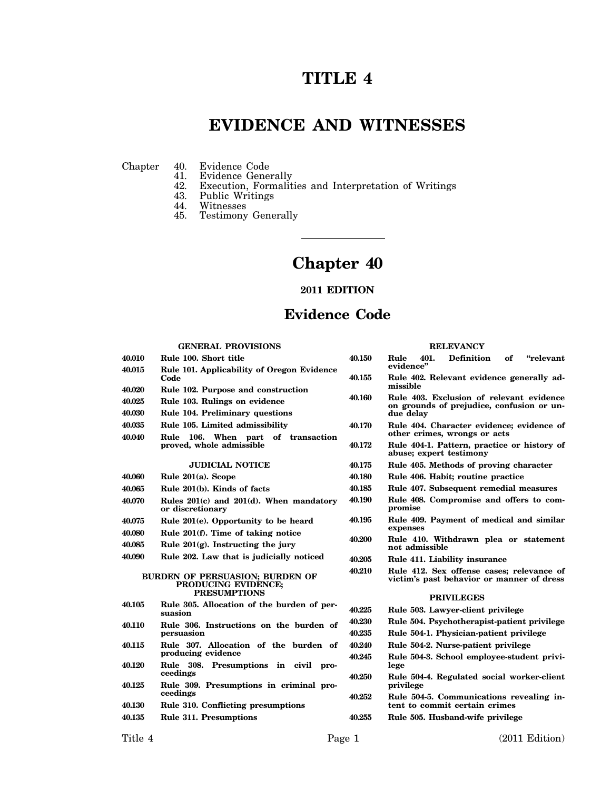# **TITLE 4**

# **EVIDENCE AND WITNESSES**

- Chapter 40. Evidence Code
	- 41. Evidence Generally
	- 42. Execution, Formalities and Interpretation of Writings
	- 43. Public Writings
	- 44. Witnesses
	- 45. Testimony Generally

# **Chapter 40**

# **2011 EDITION**

# **Evidence Code**

**RELEVANCY**

## **GENERAL PROVISIONS**

| 40.010                                                        | Rule 100. Short title                                            | 40.150 | <b>Definition</b><br>of<br>401.<br>"relevant<br>Rule<br>evidence"                      |
|---------------------------------------------------------------|------------------------------------------------------------------|--------|----------------------------------------------------------------------------------------|
| 40.015                                                        | Rule 101. Applicability of Oregon Evidence<br>Code               | 40.155 | Rule 402. Relevant evidence generally ad-                                              |
| 40.020                                                        | Rule 102. Purpose and construction                               |        | missible                                                                               |
| 40.025                                                        | Rule 103. Rulings on evidence                                    | 40.160 | Rule 403. Exclusion of relevant evidence                                               |
| 40.030                                                        | Rule 104. Preliminary questions                                  |        | on grounds of prejudice, confusion or un-<br>due delay                                 |
| 40.035                                                        | Rule 105. Limited admissibility                                  | 40.170 | Rule 404. Character evidence; evidence of                                              |
| 40.040                                                        | 106. When part of transaction<br>Rule                            |        | other crimes, wrongs or acts                                                           |
|                                                               | proved, whole admissible                                         | 40.172 | Rule 404-1. Pattern, practice or history of<br>abuse; expert testimony                 |
|                                                               | <b>JUDICIAL NOTICE</b>                                           | 40.175 | Rule 405. Methods of proving character                                                 |
| 40.060                                                        | Rule 201(a). Scope                                               | 40.180 | Rule 406. Habit; routine practice                                                      |
| 40.065                                                        | Rule 201(b). Kinds of facts                                      | 40.185 | Rule 407. Subsequent remedial measures                                                 |
| 40.070                                                        | Rules $201(c)$ and $201(d)$ . When mandatory<br>or discretionary | 40.190 | Rule 408. Compromise and offers to com-<br>promise                                     |
| 40.075                                                        | Rule 201(e). Opportunity to be heard                             | 40.195 | Rule 409. Payment of medical and similar                                               |
| 40.080                                                        | Rule 201(f). Time of taking notice                               |        | expenses                                                                               |
| 40.085                                                        | Rule $201(g)$ . Instructing the jury                             | 40.200 | Rule 410. Withdrawn plea or statement<br>not admissible                                |
| 40.090                                                        | Rule 202. Law that is judicially noticed                         | 40.205 | Rule 411. Liability insurance                                                          |
| <b>BURDEN OF PERSUASION; BURDEN OF</b><br>PRODUCING EVIDENCE: |                                                                  | 40.210 | Rule 412. Sex offense cases; relevance of<br>victim's past behavior or manner of dress |
|                                                               | <b>PRESUMPTIONS</b>                                              |        | <b>PRIVILEGES</b>                                                                      |
| 40.105                                                        | Rule 305. Allocation of the burden of per-<br>suasion            | 40.225 | Rule 503. Lawyer-client privilege                                                      |
| 40.110                                                        | Rule 306. Instructions on the burden of                          | 40.230 | Rule 504. Psychotherapist-patient privilege                                            |
|                                                               | persuasion                                                       | 40.235 | Rule 504-1. Physician-patient privilege                                                |
| 40.115                                                        | Rule 307. Allocation of the burden of                            | 40.240 | Rule 504-2. Nurse-patient privilege                                                    |
|                                                               | producing evidence                                               | 40.245 | Rule 504-3. School employee-student privi-                                             |
| 40.120                                                        | Rule 308. Presumptions in civil pro-<br>ceedings                 |        | lege                                                                                   |
| 40.125                                                        | Rule 309. Presumptions in criminal pro-                          | 40.250 | Rule 504-4. Regulated social worker-client<br>privilege                                |
| 40.130                                                        | ceedings<br>Rule 310. Conflicting presumptions                   | 40.252 | Rule 504-5. Communications revealing in-<br>tent to commit certain crimes              |
|                                                               |                                                                  |        |                                                                                        |
| 40.135                                                        | <b>Rule 311. Presumptions</b>                                    | 40.255 | Rule 505. Husband-wife privilege                                                       |
| Title 4                                                       |                                                                  | Page 1 | $(2011$ Edition)                                                                       |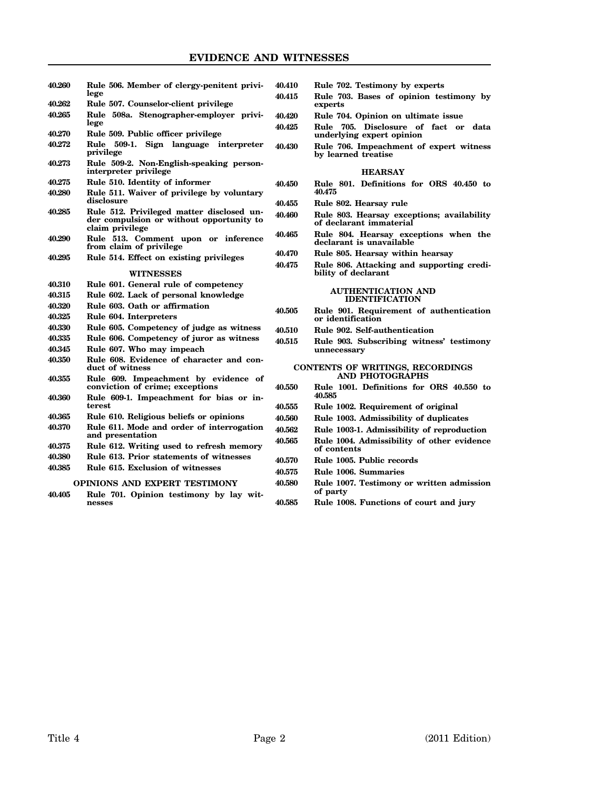| 40.260 | Rule 506. Member of clergy-penitent privi-                                      | 40.410 | Rule 702. Testimony by experts                                        |
|--------|---------------------------------------------------------------------------------|--------|-----------------------------------------------------------------------|
| 40.262 | lege                                                                            | 40.415 | Rule 703. Bases of opinion testimony by                               |
| 40.265 | Rule 507. Counselor-client privilege<br>Rule 508a. Stenographer-employer privi- |        | experts                                                               |
|        | lege                                                                            | 40.420 | Rule 704. Opinion on ultimate issue                                   |
| 40.270 | Rule 509. Public officer privilege                                              | 40.425 | Rule 705. Disclosure of fact or data<br>underlying expert opinion     |
| 40.272 | Rule 509-1. Sign language interpreter<br>privilege                              | 40.430 | Rule 706. Impeachment of expert witness<br>by learned treatise        |
| 40.273 | Rule 509-2. Non-English-speaking person-<br>interpreter privilege               |        | <b>HEARSAY</b>                                                        |
| 40.275 | Rule 510. Identity of informer                                                  | 40.450 | Rule 801. Definitions for ORS 40.450 to                               |
| 40.280 | Rule 511. Waiver of privilege by voluntary<br>disclosure                        | 40.455 | 40.475<br>Rule 802. Hearsay rule                                      |
| 40.285 | Rule 512. Privileged matter disclosed un-                                       | 40.460 |                                                                       |
|        | der compulsion or without opportunity to<br>claim privilege                     |        | Rule 803. Hearsay exceptions; availability<br>of declarant immaterial |
| 40.290 | Rule 513. Comment upon or inference<br>from claim of privilege                  | 40.465 | Rule 804. Hearsay exceptions when the<br>declarant is unavailable     |
| 40.295 | Rule 514. Effect on existing privileges                                         | 40.470 | Rule 805. Hearsay within hearsay                                      |
|        |                                                                                 | 40.475 | Rule 806. Attacking and supporting credi-                             |
|        | <b>WITNESSES</b>                                                                |        | bility of declarant                                                   |
| 40.310 | Rule 601. General rule of competency                                            |        | <b>AUTHENTICATION AND</b>                                             |
| 40.315 | Rule 602. Lack of personal knowledge                                            |        | <b>IDENTIFICATION</b>                                                 |
| 40.320 | Rule 603. Oath or affirmation                                                   | 40.505 | Rule 901. Requirement of authentication                               |
| 40.325 | Rule 604. Interpreters                                                          |        | or identification                                                     |
| 40.330 | Rule 605. Competency of judge as witness                                        | 40.510 | Rule 902. Self-authentication                                         |
| 40.335 | Rule 606. Competency of juror as witness                                        | 40.515 | Rule 903. Subscribing witness' testimony                              |
| 40.345 | Rule 607. Who may impeach                                                       |        | unnecessary                                                           |
| 40.350 | Rule 608. Evidence of character and con-<br>duct of witness                     |        | <b>CONTENTS OF WRITINGS, RECORDINGS</b>                               |
| 40.355 | Rule 609. Impeachment by evidence of                                            |        | AND PHOTOGRAPHS                                                       |
| 40.360 | conviction of crime; exceptions<br>Rule 609-1. Impeachment for bias or in-      | 40.550 | Rule 1001. Definitions for ORS 40.550 to<br>40.585                    |
|        | terest                                                                          | 40.555 | Rule 1002. Requirement of original                                    |
| 40.365 | Rule 610. Religious beliefs or opinions                                         | 40.560 | Rule 1003. Admissibility of duplicates                                |
| 40.370 | Rule 611. Mode and order of interrogation                                       | 40.562 | Rule 1003-1. Admissibility of reproduction                            |
|        | and presentation                                                                | 40.565 | Rule 1004. Admissibility of other evidence                            |
| 40.375 | Rule 612. Writing used to refresh memory                                        |        | of contents                                                           |
| 40.380 | Rule 613. Prior statements of witnesses                                         | 40.570 | Rule 1005. Public records                                             |
| 40.385 | Rule 615. Exclusion of witnesses                                                | 40.575 | Rule 1006. Summaries                                                  |
|        | <b>OPINIONS AND EXPERT TESTIMONY</b>                                            | 40.580 | Rule 1007. Testimony or written admission                             |
| 40.405 | Rule 701. Opinion testimony by lay wit-                                         |        | of party                                                              |
|        | nesses                                                                          | 40.585 | Rule 1008. Functions of court and jury                                |
|        |                                                                                 |        |                                                                       |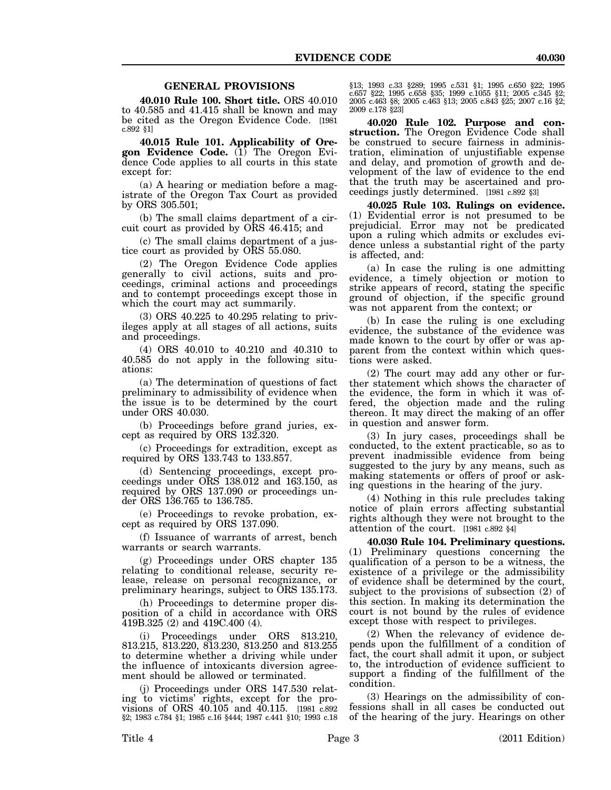#### **GENERAL PROVISIONS**

**40.010 Rule 100. Short title.** ORS 40.010 to 40.585 and 41.415 shall be known and may be cited as the Oregon Evidence Code. [1981 c.892 §1]

**40.015 Rule 101. Applicability of Oregon Evidence Code.** (1) The Oregon Evidence Code applies to all courts in this state except for:

(a) A hearing or mediation before a magistrate of the Oregon Tax Court as provided by ORS 305.501;

(b) The small claims department of a circuit court as provided by ORS 46.415; and

(c) The small claims department of a justice court as provided by ORS 55.080.

(2) The Oregon Evidence Code applies generally to civil actions, suits and proceedings, criminal actions and proceedings and to contempt proceedings except those in which the court may act summarily.

(3) ORS 40.225 to 40.295 relating to privileges apply at all stages of all actions, suits and proceedings.

(4) ORS 40.010 to 40.210 and 40.310 to 40.585 do not apply in the following situations:

(a) The determination of questions of fact preliminary to admissibility of evidence when the issue is to be determined by the court under ORS 40.030.

(b) Proceedings before grand juries, except as required by ORS 132.320.

(c) Proceedings for extradition, except as required by ORS 133.743 to 133.857.

(d) Sentencing proceedings, except proceedings under ORS 138.012 and 163.150, as required by ORS 137.090 or proceedings under ORS 136.765 to 136.785.

(e) Proceedings to revoke probation, except as required by ORS 137.090.

(f) Issuance of warrants of arrest, bench warrants or search warrants.

(g) Proceedings under ORS chapter 135 relating to conditional release, security release, release on personal recognizance, or preliminary hearings, subject to ORS 135.173.

(h) Proceedings to determine proper disposition of a child in accordance with ORS 419B.325 (2) and 419C.400 (4).

(i) Proceedings under ORS 813.210, 813.215, 813.220, 813.230, 813.250 and 813.255 to determine whether a driving while under the influence of intoxicants diversion agreement should be allowed or terminated.

(j) Proceedings under ORS 147.530 relating to victims' rights, except for the provisions of ORS 40.105 and 40.115. [1981 c.892 §2; 1983 c.784 §1; 1985 c.16 §444; 1987 c.441 §10; 1993 c.18

§13; 1993 c.33 §289; 1995 c.531 §1; 1995 c.650 §22; 1995 c.657 §22; 1995 c.658 §35; 1999 c.1055 §11; 2005 c.345 §2; 2005 c.463 §8; 2005 c.463 §13; 2005 c.843 §25; 2007 c.16 §2; 2009 c.178 §23]

**40.020 Rule 102. Purpose and construction.** The Oregon Evidence Code shall be construed to secure fairness in administration, elimination of unjustifiable expense and delay, and promotion of growth and development of the law of evidence to the end that the truth may be ascertained and proceedings justly determined. [1981 c.892 §3]

**40.025 Rule 103. Rulings on evidence.** (1) Evidential error is not presumed to be prejudicial. Error may not be predicated upon a ruling which admits or excludes evidence unless a substantial right of the party is affected, and:

(a) In case the ruling is one admitting evidence, a timely objection or motion to strike appears of record, stating the specific ground of objection, if the specific ground was not apparent from the context; or

(b) In case the ruling is one excluding evidence, the substance of the evidence was made known to the court by offer or was apparent from the context within which questions were asked.

(2) The court may add any other or further statement which shows the character of the evidence, the form in which it was offered, the objection made and the ruling thereon. It may direct the making of an offer in question and answer form.

(3) In jury cases, proceedings shall be conducted, to the extent practicable, so as to prevent inadmissible evidence from being suggested to the jury by any means, such as making statements or offers of proof or asking questions in the hearing of the jury.

(4) Nothing in this rule precludes taking notice of plain errors affecting substantial rights although they were not brought to the attention of the court. [1981 c.892 §4]

**40.030 Rule 104. Preliminary questions.** (1) Preliminary questions concerning the qualification of a person to be a witness, the existence of a privilege or the admissibility of evidence shall be determined by the court, subject to the provisions of subsection (2) of this section. In making its determination the court is not bound by the rules of evidence except those with respect to privileges.

(2) When the relevancy of evidence depends upon the fulfillment of a condition of fact, the court shall admit it upon, or subject to, the introduction of evidence sufficient to support a finding of the fulfillment of the condition.

(3) Hearings on the admissibility of confessions shall in all cases be conducted out of the hearing of the jury. Hearings on other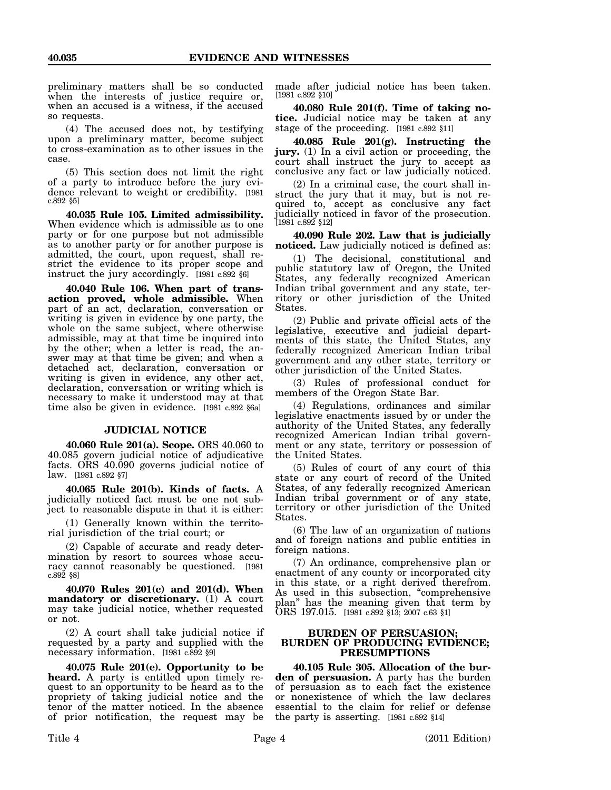preliminary matters shall be so conducted when the interests of justice require or, when an accused is a witness, if the accused so requests.

(4) The accused does not, by testifying upon a preliminary matter, become subject to cross-examination as to other issues in the case.

(5) This section does not limit the right of a party to introduce before the jury evidence relevant to weight or credibility. [1981 c.892 §5]

**40.035 Rule 105. Limited admissibility.** When evidence which is admissible as to one party or for one purpose but not admissible as to another party or for another purpose is admitted, the court, upon request, shall restrict the evidence to its proper scope and instruct the jury accordingly. [1981 c.892 §6]

**40.040 Rule 106. When part of transaction proved, whole admissible.** When part of an act, declaration, conversation or writing is given in evidence by one party, the whole on the same subject, where otherwise admissible, may at that time be inquired into by the other; when a letter is read, the answer may at that time be given; and when a detached act, declaration, conversation or writing is given in evidence, any other act, declaration, conversation or writing which is necessary to make it understood may at that time also be given in evidence. [1981 c.892 §6a]

### **JUDICIAL NOTICE**

**40.060 Rule 201(a). Scope.** ORS 40.060 to 40.085 govern judicial notice of adjudicative facts. ORS 40.090 governs judicial notice of law. [1981 c.892 §7]

**40.065 Rule 201(b). Kinds of facts.** A judicially noticed fact must be one not subject to reasonable dispute in that it is either:

(1) Generally known within the territorial jurisdiction of the trial court; or

(2) Capable of accurate and ready determination by resort to sources whose accuracy cannot reasonably be questioned. [1981 c.892 §8]

**40.070 Rules 201(c) and 201(d). When mandatory or discretionary.** (1) A court may take judicial notice, whether requested or not.

(2) A court shall take judicial notice if requested by a party and supplied with the necessary information. [1981 c.892 §9]

**40.075 Rule 201(e). Opportunity to be** heard. A party is entitled upon timely request to an opportunity to be heard as to the propriety of taking judicial notice and the tenor of the matter noticed. In the absence of prior notification, the request may be made after judicial notice has been taken. [1981 c.892 §10]

**40.080 Rule 201(f). Time of taking notice.** Judicial notice may be taken at any stage of the proceeding. [1981 c.892 §11]

**40.085 Rule 201(g). Instructing the jury.** (1) In a civil action or proceeding, the court shall instruct the jury to accept as conclusive any fact or law judicially noticed.

(2) In a criminal case, the court shall instruct the jury that it may, but is not required to, accept as conclusive any fact judicially noticed in favor of the prosecution. [1981 c.892 §12]

**40.090 Rule 202. Law that is judicially noticed.** Law judicially noticed is defined as:

(1) The decisional, constitutional and public statutory law of Oregon, the United States, any federally recognized American Indian tribal government and any state, territory or other jurisdiction of the United States.

(2) Public and private official acts of the legislative, executive and judicial departments of this state, the United States, any federally recognized American Indian tribal government and any other state, territory or other jurisdiction of the United States.

(3) Rules of professional conduct for members of the Oregon State Bar.

(4) Regulations, ordinances and similar legislative enactments issued by or under the authority of the United States, any federally recognized American Indian tribal government or any state, territory or possession of the United States.

(5) Rules of court of any court of this state or any court of record of the United States, of any federally recognized American Indian tribal government or of any state, territory or other jurisdiction of the United States.

(6) The law of an organization of nations and of foreign nations and public entities in foreign nations.

(7) An ordinance, comprehensive plan or enactment of any county or incorporated city in this state, or a right derived therefrom. As used in this subsection, "comprehensive plan" has the meaning given that term by ORS 197.015. [1981 c.892 §13; 2007 c.63 §1]

#### **BURDEN OF PERSUASION; BURDEN OF PRODUCING EVIDENCE; PRESUMPTIONS**

**40.105 Rule 305. Allocation of the burden of persuasion.** A party has the burden of persuasion as to each fact the existence or nonexistence of which the law declares essential to the claim for relief or defense the party is asserting. [1981 c.892 §14]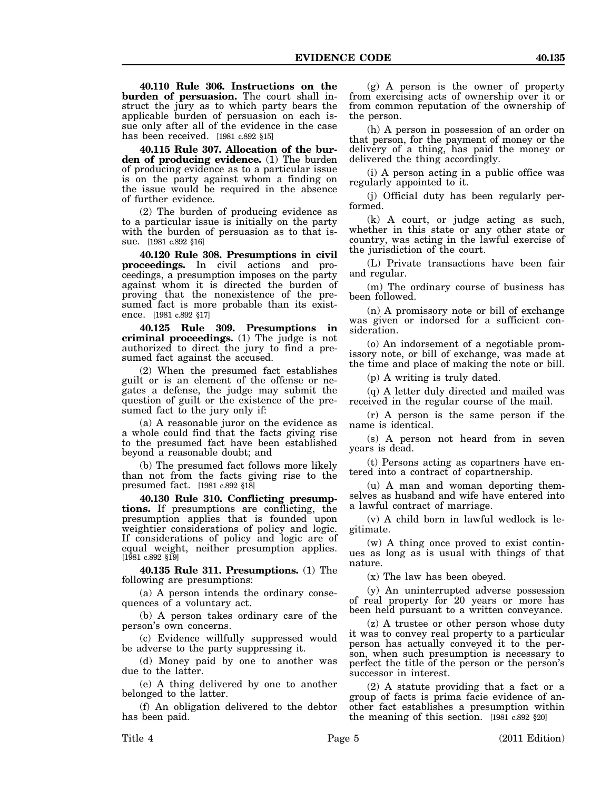**40.110 Rule 306. Instructions on the burden of persuasion.** The court shall instruct the jury as to which party bears the applicable burden of persuasion on each issue only after all of the evidence in the case has been received. [1981 c.892 §15]

**40.115 Rule 307. Allocation of the burden of producing evidence.** (1) The burden of producing evidence as to a particular issue is on the party against whom a finding on the issue would be required in the absence of further evidence.

(2) The burden of producing evidence as to a particular issue is initially on the party with the burden of persuasion as to that issue. [1981 c.892 §16]

**40.120 Rule 308. Presumptions in civil proceedings.** In civil actions and proceedings, a presumption imposes on the party against whom it is directed the burden of proving that the nonexistence of the presumed fact is more probable than its existence. [1981 c.892 §17]

**40.125 Rule 309. Presumptions in criminal proceedings.** (1) The judge is not authorized to direct the jury to find a presumed fact against the accused.

(2) When the presumed fact establishes guilt or is an element of the offense or negates a defense, the judge may submit the question of guilt or the existence of the presumed fact to the jury only if:

(a) A reasonable juror on the evidence as a whole could find that the facts giving rise to the presumed fact have been established beyond a reasonable doubt; and

(b) The presumed fact follows more likely than not from the facts giving rise to the presumed fact. [1981 c.892 §18]

**40.130 Rule 310. Conflicting presumptions.** If presumptions are conflicting, the presumption applies that is founded upon weightier considerations of policy and logic. If considerations of policy and logic are of equal weight, neither presumption applies. [1981 c.892 §19]

**40.135 Rule 311. Presumptions.** (1) The following are presumptions:

(a) A person intends the ordinary consequences of a voluntary act.

(b) A person takes ordinary care of the person's own concerns.

(c) Evidence willfully suppressed would be adverse to the party suppressing it.

(d) Money paid by one to another was due to the latter.

(e) A thing delivered by one to another belonged to the latter.

(f) An obligation delivered to the debtor has been paid.

(g) A person is the owner of property from exercising acts of ownership over it or from common reputation of the ownership of the person.

(h) A person in possession of an order on that person, for the payment of money or the delivery of a thing, has paid the money or delivered the thing accordingly.

(i) A person acting in a public office was regularly appointed to it.

(j) Official duty has been regularly performed.

(k) A court, or judge acting as such, whether in this state or any other state or country, was acting in the lawful exercise of the jurisdiction of the court.

(L) Private transactions have been fair and regular.

(m) The ordinary course of business has been followed.

(n) A promissory note or bill of exchange was given or indorsed for a sufficient consideration.

(o) An indorsement of a negotiable promissory note, or bill of exchange, was made at the time and place of making the note or bill.

(p) A writing is truly dated.

(q) A letter duly directed and mailed was received in the regular course of the mail.

(r) A person is the same person if the name is identical.

(s) A person not heard from in seven years is dead.

(t) Persons acting as copartners have entered into a contract of copartnership.

(u) A man and woman deporting themselves as husband and wife have entered into a lawful contract of marriage.

(v) A child born in lawful wedlock is legitimate.

(w) A thing once proved to exist continues as long as is usual with things of that nature.

(x) The law has been obeyed.

(y) An uninterrupted adverse possession of real property for 20 years or more has been held pursuant to a written conveyance.

(z) A trustee or other person whose duty it was to convey real property to a particular person has actually conveyed it to the person, when such presumption is necessary to perfect the title of the person or the person's successor in interest.

(2) A statute providing that a fact or a group of facts is prima facie evidence of another fact establishes a presumption within the meaning of this section. [1981 c.892 §20]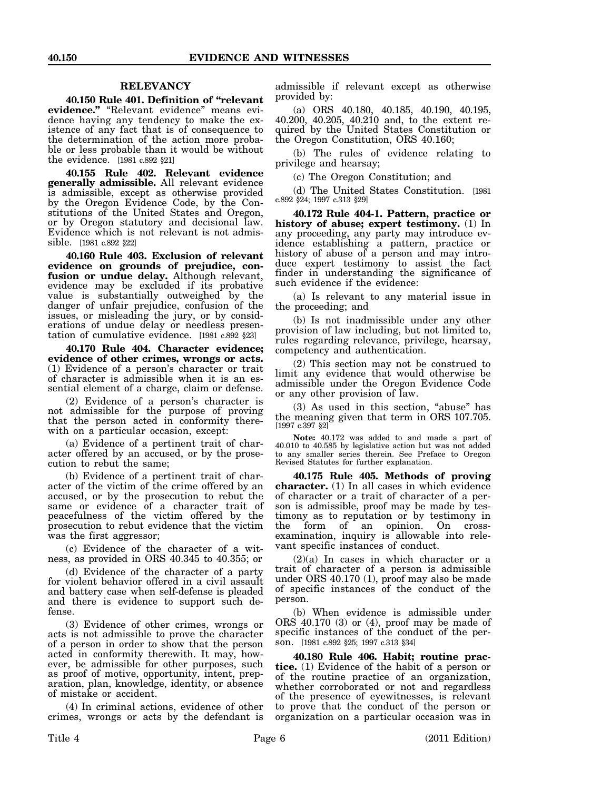#### **RELEVANCY**

#### **40.150 Rule 401. Definition of "relevant**

**evidence."** "Relevant evidence" means evidence having any tendency to make the existence of any fact that is of consequence to the determination of the action more probable or less probable than it would be without the evidence. [1981 c.892 §21]

**40.155 Rule 402. Relevant evidence generally admissible.** All relevant evidence is admissible, except as otherwise provided by the Oregon Evidence Code, by the Constitutions of the United States and Oregon, or by Oregon statutory and decisional law. Evidence which is not relevant is not admissible. [1981 c.892 §22]

**40.160 Rule 403. Exclusion of relevant evidence on grounds of prejudice, confusion or undue delay.** Although relevant, evidence may be excluded if its probative value is substantially outweighed by the danger of unfair prejudice, confusion of the issues, or misleading the jury, or by considerations of undue delay or needless presentation of cumulative evidence. [1981 c.892 §23]

**40.170 Rule 404. Character evidence; evidence of other crimes, wrongs or acts.** (1) Evidence of a person's character or trait of character is admissible when it is an essential element of a charge, claim or defense.

(2) Evidence of a person's character is not admissible for the purpose of proving that the person acted in conformity therewith on a particular occasion, except:

(a) Evidence of a pertinent trait of character offered by an accused, or by the prosecution to rebut the same;

(b) Evidence of a pertinent trait of character of the victim of the crime offered by an accused, or by the prosecution to rebut the same or evidence of a character trait of peacefulness of the victim offered by the prosecution to rebut evidence that the victim was the first aggressor;

(c) Evidence of the character of a witness, as provided in ORS 40.345 to 40.355; or

(d) Evidence of the character of a party for violent behavior offered in a civil assault and battery case when self-defense is pleaded and there is evidence to support such defense.

(3) Evidence of other crimes, wrongs or acts is not admissible to prove the character of a person in order to show that the person acted in conformity therewith. It may, however, be admissible for other purposes, such as proof of motive, opportunity, intent, preparation, plan, knowledge, identity, or absence of mistake or accident.

(4) In criminal actions, evidence of other crimes, wrongs or acts by the defendant is admissible if relevant except as otherwise provided by:

(a) ORS 40.180, 40.185, 40.190, 40.195, 40.200, 40.205, 40.210 and, to the extent required by the United States Constitution or the Oregon Constitution, ORS 40.160;

(b) The rules of evidence relating to privilege and hearsay;

(c) The Oregon Constitution; and

(d) The United States Constitution. [1981 c.892 §24; 1997 c.313 §29]

**40.172 Rule 404-1. Pattern, practice or history of abuse; expert testimony.** (1) In any proceeding, any party may introduce evidence establishing a pattern, practice or history of abuse of a person and may introduce expert testimony to assist the fact finder in understanding the significance of such evidence if the evidence:

(a) Is relevant to any material issue in the proceeding; and

(b) Is not inadmissible under any other provision of law including, but not limited to, rules regarding relevance, privilege, hearsay, competency and authentication.

(2) This section may not be construed to limit any evidence that would otherwise be admissible under the Oregon Evidence Code or any other provision of law.

(3) As used in this section, "abuse" has the meaning given that term in ORS 107.705. [1997 c.397 §2]

**Note:** 40.172 was added to and made a part of 40.010 to 40.585 by legislative action but was not added to any smaller series therein. See Preface to Oregon Revised Statutes for further explanation.

**40.175 Rule 405. Methods of proving character.** (1) In all cases in which evidence of character or a trait of character of a person is admissible, proof may be made by testimony as to reputation or by testimony in the form of an opinion. On crossexamination, inquiry is allowable into relevant specific instances of conduct.

(2)(a) In cases in which character or a trait of character of a person is admissible under ORS 40.170 (1), proof may also be made of specific instances of the conduct of the person.

(b) When evidence is admissible under ORS 40.170 (3) or (4), proof may be made of specific instances of the conduct of the person. [1981 c.892 §25; 1997 c.313 §34]

**40.180 Rule 406. Habit; routine practice.** (1) Evidence of the habit of a person or of the routine practice of an organization, whether corroborated or not and regardless of the presence of eyewitnesses, is relevant to prove that the conduct of the person or organization on a particular occasion was in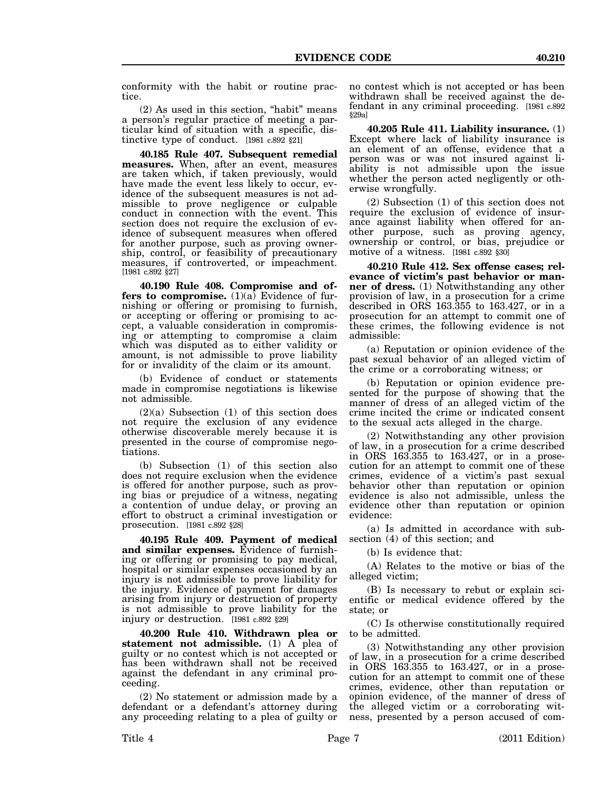conformity with the habit or routine practice.

(2) As used in this section, "habit" means a person's regular practice of meeting a particular kind of situation with a specific, distinctive type of conduct. [1981 c.892 §21]

**40.185 Rule 407. Subsequent remedial measures.** When, after an event, measures are taken which, if taken previously, would have made the event less likely to occur, evidence of the subsequent measures is not admissible to prove negligence or culpable conduct in connection with the event. This section does not require the exclusion of evidence of subsequent measures when offered for another purpose, such as proving ownership, control, or feasibility of precautionary measures, if controverted, or impeachment. [1981 c.892 §27]

**40.190 Rule 408. Compromise and offers to compromise.**  $(1)(a)$  Evidence of furnishing or offering or promising to furnish, or accepting or offering or promising to accept, a valuable consideration in compromising or attempting to compromise a claim which was disputed as to either validity or amount, is not admissible to prove liability for or invalidity of the claim or its amount.

(b) Evidence of conduct or statements made in compromise negotiations is likewise not admissible.

(2)(a) Subsection (1) of this section does not require the exclusion of any evidence otherwise discoverable merely because it is presented in the course of compromise negotiations.

(b) Subsection (1) of this section also does not require exclusion when the evidence is offered for another purpose, such as proving bias or prejudice of a witness, negating a contention of undue delay, or proving an effort to obstruct a criminal investigation or prosecution. [1981 c.892 §28]

**40.195 Rule 409. Payment of medical and similar expenses.** Evidence of furnishing or offering or promising to pay medical, hospital or similar expenses occasioned by an injury is not admissible to prove liability for the injury. Evidence of payment for damages arising from injury or destruction of property is not admissible to prove liability for the injury or destruction. [1981 c.892 §29]

**40.200 Rule 410. Withdrawn plea or statement not admissible.** (1) A plea of guilty or no contest which is not accepted or has been withdrawn shall not be received against the defendant in any criminal proceeding.

(2) No statement or admission made by a defendant or a defendant's attorney during any proceeding relating to a plea of guilty or no contest which is not accepted or has been withdrawn shall be received against the defendant in any criminal proceeding. [1981 c.892 §29a]

**40.205 Rule 411. Liability insurance.** (1) Except where lack of liability insurance is an element of an offense, evidence that a person was or was not insured against liability is not admissible upon the issue whether the person acted negligently or otherwise wrongfully.

(2) Subsection (1) of this section does not require the exclusion of evidence of insurance against liability when offered for another purpose, such as proving agency, ownership or control, or bias, prejudice or motive of a witness. [1981 c.892 §30]

**40.210 Rule 412. Sex offense cases; relevance of victim's past behavior or manner of dress.** (1) Notwithstanding any other provision of law, in a prosecution for a crime described in ORS 163.355 to 163.427, or in a prosecution for an attempt to commit one of these crimes, the following evidence is not admissible:

(a) Reputation or opinion evidence of the past sexual behavior of an alleged victim of the crime or a corroborating witness; or

(b) Reputation or opinion evidence presented for the purpose of showing that the manner of dress of an alleged victim of the crime incited the crime or indicated consent to the sexual acts alleged in the charge.

(2) Notwithstanding any other provision of law, in a prosecution for a crime described in ORS 163.355 to 163.427, or in a prosecution for an attempt to commit one of these crimes, evidence of a victim's past sexual behavior other than reputation or opinion evidence is also not admissible, unless the evidence other than reputation or opinion evidence:

(a) Is admitted in accordance with subsection (4) of this section; and

(b) Is evidence that:

(A) Relates to the motive or bias of the alleged victim;

(B) Is necessary to rebut or explain scientific or medical evidence offered by the state; or

(C) Is otherwise constitutionally required to be admitted.

(3) Notwithstanding any other provision of law, in a prosecution for a crime described in ORS 163.355 to 163.427, or in a prosecution for an attempt to commit one of these crimes, evidence, other than reputation or opinion evidence, of the manner of dress of the alleged victim or a corroborating witness, presented by a person accused of com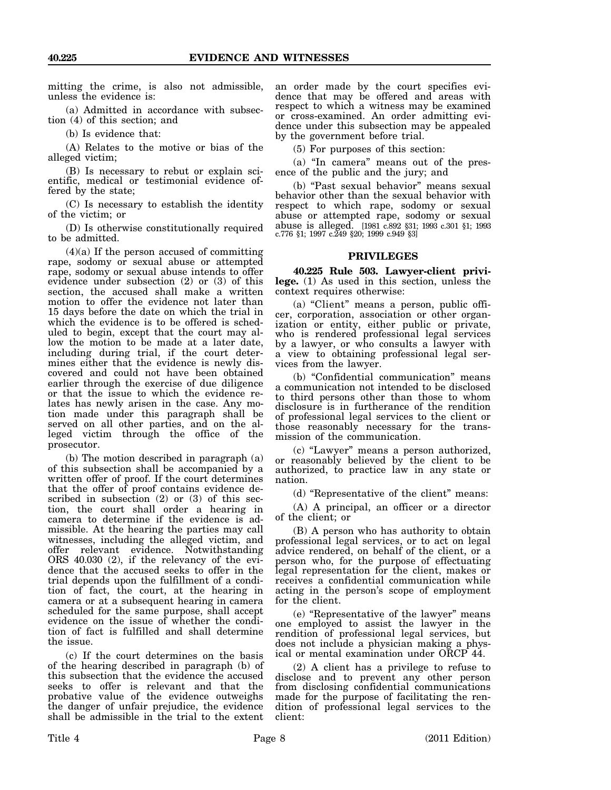mitting the crime, is also not admissible, unless the evidence is:

(a) Admitted in accordance with subsection (4) of this section; and

(b) Is evidence that:

(A) Relates to the motive or bias of the alleged victim;

(B) Is necessary to rebut or explain scientific, medical or testimonial evidence offered by the state;

(C) Is necessary to establish the identity of the victim; or

(D) Is otherwise constitutionally required to be admitted.

(4)(a) If the person accused of committing rape, sodomy or sexual abuse or attempted rape, sodomy or sexual abuse intends to offer evidence under subsection (2) or (3) of this section, the accused shall make a written motion to offer the evidence not later than 15 days before the date on which the trial in which the evidence is to be offered is scheduled to begin, except that the court may allow the motion to be made at a later date, including during trial, if the court determines either that the evidence is newly discovered and could not have been obtained earlier through the exercise of due diligence or that the issue to which the evidence relates has newly arisen in the case. Any motion made under this paragraph shall be served on all other parties, and on the alleged victim through the office of the prosecutor.

(b) The motion described in paragraph (a) of this subsection shall be accompanied by a written offer of proof. If the court determines that the offer of proof contains evidence described in subsection (2) or (3) of this section, the court shall order a hearing in camera to determine if the evidence is admissible. At the hearing the parties may call witnesses, including the alleged victim, and offer relevant evidence. Notwithstanding ORS 40.030 (2), if the relevancy of the evidence that the accused seeks to offer in the trial depends upon the fulfillment of a condition of fact, the court, at the hearing in camera or at a subsequent hearing in camera scheduled for the same purpose, shall accept evidence on the issue of whether the condition of fact is fulfilled and shall determine the issue.

(c) If the court determines on the basis of the hearing described in paragraph (b) of this subsection that the evidence the accused seeks to offer is relevant and that the probative value of the evidence outweighs the danger of unfair prejudice, the evidence shall be admissible in the trial to the extent

an order made by the court specifies evidence that may be offered and areas with respect to which a witness may be examined or cross-examined. An order admitting evidence under this subsection may be appealed by the government before trial.

(5) For purposes of this section:

(a) "In camera" means out of the presence of the public and the jury; and

(b) "Past sexual behavior" means sexual behavior other than the sexual behavior with respect to which rape, sodomy or sexual abuse or attempted rape, sodomy or sexual abuse is alleged. [1981 c.892 §31; 1993 c.301 §1; 1993 c.776 §1; 1997 c.249 §20; 1999 c.949 §3]

### **PRIVILEGES**

**40.225 Rule 503. Lawyer-client privilege.** (1) As used in this section, unless the context requires otherwise:

(a) "Client" means a person, public officer, corporation, association or other organization or entity, either public or private, who is rendered professional legal services by a lawyer, or who consults a lawyer with a view to obtaining professional legal services from the lawyer.

(b) "Confidential communication" means a communication not intended to be disclosed to third persons other than those to whom disclosure is in furtherance of the rendition of professional legal services to the client or those reasonably necessary for the transmission of the communication.

(c) "Lawyer" means a person authorized, or reasonably believed by the client to be authorized, to practice law in any state or nation.

(d) "Representative of the client" means:

(A) A principal, an officer or a director of the client; or

(B) A person who has authority to obtain professional legal services, or to act on legal advice rendered, on behalf of the client, or a person who, for the purpose of effectuating legal representation for the client, makes or receives a confidential communication while acting in the person's scope of employment for the client.

(e) "Representative of the lawyer" means one employed to assist the lawyer in the rendition of professional legal services, but does not include a physician making a physical or mental examination under ORCP 44.

(2) A client has a privilege to refuse to disclose and to prevent any other person from disclosing confidential communications made for the purpose of facilitating the rendition of professional legal services to the client: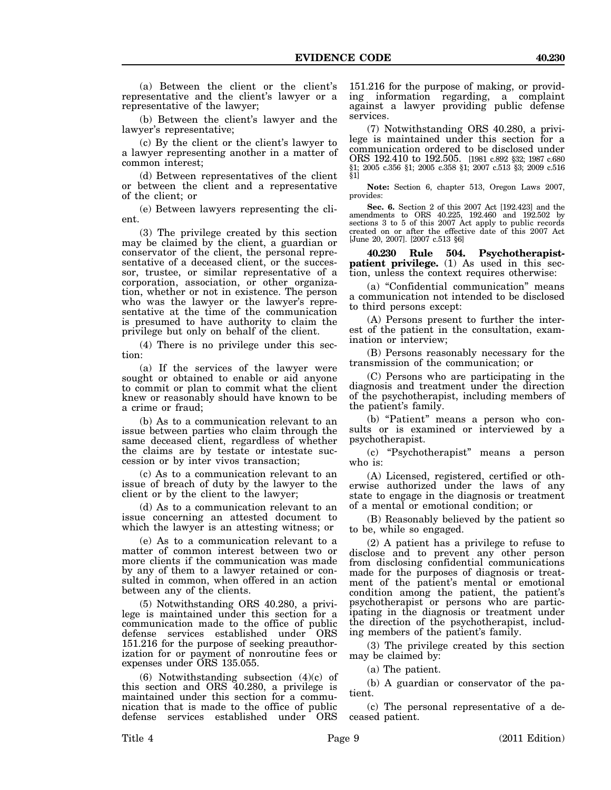(a) Between the client or the client's representative and the client's lawyer or a representative of the lawyer;

(b) Between the client's lawyer and the lawyer's representative;

(c) By the client or the client's lawyer to a lawyer representing another in a matter of common interest;

(d) Between representatives of the client or between the client and a representative of the client; or

(e) Between lawyers representing the client.

(3) The privilege created by this section may be claimed by the client, a guardian or conservator of the client, the personal representative of a deceased client, or the successor, trustee, or similar representative of a corporation, association, or other organization, whether or not in existence. The person who was the lawyer or the lawyer's representative at the time of the communication is presumed to have authority to claim the privilege but only on behalf of the client.

(4) There is no privilege under this section:

(a) If the services of the lawyer were sought or obtained to enable or aid anyone to commit or plan to commit what the client knew or reasonably should have known to be a crime or fraud;

(b) As to a communication relevant to an issue between parties who claim through the same deceased client, regardless of whether the claims are by testate or intestate succession or by inter vivos transaction;

(c) As to a communication relevant to an issue of breach of duty by the lawyer to the client or by the client to the lawyer;

(d) As to a communication relevant to an issue concerning an attested document to which the lawyer is an attesting witness; or

(e) As to a communication relevant to a matter of common interest between two or more clients if the communication was made by any of them to a lawyer retained or consulted in common, when offered in an action between any of the clients.

(5) Notwithstanding ORS 40.280, a privilege is maintained under this section for a communication made to the office of public defense services established under ORS 151.216 for the purpose of seeking preauthorization for or payment of nonroutine fees or expenses under ORS 135.055.

(6) Notwithstanding subsection (4)(c) of this section and ORS 40.280, a privilege is maintained under this section for a communication that is made to the office of public defense services established under ORS

151.216 for the purpose of making, or providing information regarding, a complaint against a lawyer providing public defense services.

(7) Notwithstanding ORS 40.280, a privilege is maintained under this section for a communication ordered to be disclosed under ORS 192.410 to 192.505. [1981 c.892 §32; 1987 c.680 §1; 2005 c.356 §1; 2005 c.358 §1; 2007 c.513 §3; 2009 c.516 §1]

**Note:** Section 6, chapter 513, Oregon Laws 2007, provides:

**Sec. 6.** Section 2 of this 2007 Act [192.423] and the amendments to ORS 40.225, 192.460 and 192.502 by sections 3 to 5 of this 2007 Act apply to public records created on or after the effective date of this 2007 Act [June 20, 2007]. [2007 c.513 §6]

**40.230 Rule 504. Psychotherapistpatient privilege.** (1) As used in this section, unless the context requires otherwise:

(a) "Confidential communication" means a communication not intended to be disclosed to third persons except:

(A) Persons present to further the interest of the patient in the consultation, examination or interview;

(B) Persons reasonably necessary for the transmission of the communication; or

(C) Persons who are participating in the diagnosis and treatment under the direction of the psychotherapist, including members of the patient's family.

(b) "Patient" means a person who consults or is examined or interviewed by a psychotherapist.

(c) "Psychotherapist" means a person who is:

(A) Licensed, registered, certified or otherwise authorized under the laws of any state to engage in the diagnosis or treatment of a mental or emotional condition; or

(B) Reasonably believed by the patient so to be, while so engaged.

(2) A patient has a privilege to refuse to disclose and to prevent any other person from disclosing confidential communications made for the purposes of diagnosis or treatment of the patient's mental or emotional condition among the patient, the patient's psychotherapist or persons who are participating in the diagnosis or treatment under the direction of the psychotherapist, including members of the patient's family.

(3) The privilege created by this section may be claimed by:

(a) The patient.

(b) A guardian or conservator of the patient.

(c) The personal representative of a deceased patient.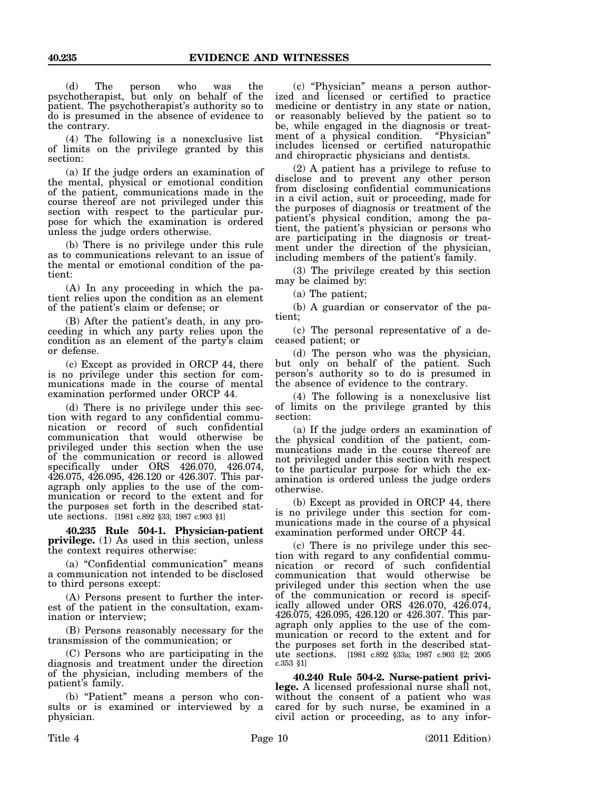(d) The person who was the psychotherapist, but only on behalf of the patient. The psychotherapist's authority so to do is presumed in the absence of evidence to the contrary.

(4) The following is a nonexclusive list of limits on the privilege granted by this section:

(a) If the judge orders an examination of the mental, physical or emotional condition of the patient, communications made in the course thereof are not privileged under this section with respect to the particular purpose for which the examination is ordered unless the judge orders otherwise.

(b) There is no privilege under this rule as to communications relevant to an issue of the mental or emotional condition of the patient:

(A) In any proceeding in which the patient relies upon the condition as an element of the patient's claim or defense; or

(B) After the patient's death, in any proceeding in which any party relies upon the condition as an element of the party's claim or defense.

(c) Except as provided in ORCP 44, there is no privilege under this section for communications made in the course of mental examination performed under ORCP 44.

(d) There is no privilege under this section with regard to any confidential communication or record of such confidential communication that would otherwise be privileged under this section when the use of the communication or record is allowed specifically under ORS 426.070, 426.074, 426.075, 426.095, 426.120 or 426.307. This paragraph only applies to the use of the communication or record to the extent and for the purposes set forth in the described statute sections. [1981 c.892 §33; 1987 c.903 §1]

**40.235 Rule 504-1. Physician-patient privilege.** (1) As used in this section, unless the context requires otherwise:

(a) "Confidential communication" means a communication not intended to be disclosed to third persons except:

(A) Persons present to further the interest of the patient in the consultation, examination or interview;

(B) Persons reasonably necessary for the transmission of the communication; or

(C) Persons who are participating in the diagnosis and treatment under the direction of the physician, including members of the patient's family.

(b) "Patient" means a person who consults or is examined or interviewed by a physician.

(c) "Physician" means a person authorized and licensed or certified to practice medicine or dentistry in any state or nation, or reasonably believed by the patient so to be, while engaged in the diagnosis or treatment of a physical condition. "Physician" includes licensed or certified naturopathic and chiropractic physicians and dentists.

(2) A patient has a privilege to refuse to disclose and to prevent any other person from disclosing confidential communications in a civil action, suit or proceeding, made for the purposes of diagnosis or treatment of the patient's physical condition, among the patient, the patient's physician or persons who are participating in the diagnosis or treatment under the direction of the physician, including members of the patient's family.

(3) The privilege created by this section may be claimed by:

(a) The patient;

(b) A guardian or conservator of the patient;

(c) The personal representative of a deceased patient; or

(d) The person who was the physician, but only on behalf of the patient. Such person's authority so to do is presumed in the absence of evidence to the contrary.

(4) The following is a nonexclusive list of limits on the privilege granted by this section:

(a) If the judge orders an examination of the physical condition of the patient, communications made in the course thereof are not privileged under this section with respect to the particular purpose for which the examination is ordered unless the judge orders otherwise.

(b) Except as provided in ORCP 44, there is no privilege under this section for communications made in the course of a physical examination performed under ORCP 44.

(c) There is no privilege under this section with regard to any confidential communication or record of such confidential communication that would otherwise be privileged under this section when the use of the communication or record is specifically allowed under ORS 426.070, 426.074, 426.075, 426.095, 426.120 or 426.307. This paragraph only applies to the use of the communication or record to the extent and for the purposes set forth in the described statute sections. [1981 c.892 §33a; 1987 c.903 §2; 2005 c.353 §1]

**40.240 Rule 504-2. Nurse-patient privi**lege. A licensed professional nurse shall not, without the consent of a patient who was cared for by such nurse, be examined in a civil action or proceeding, as to any infor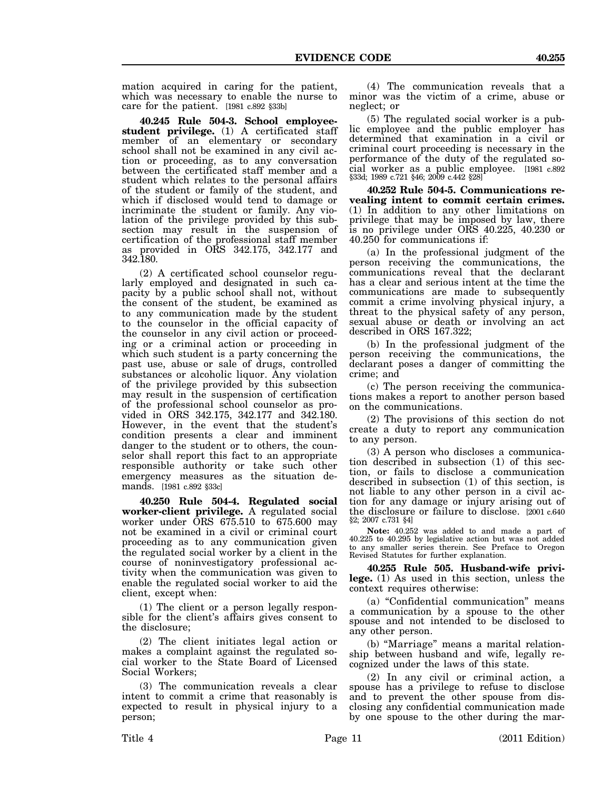mation acquired in caring for the patient, which was necessary to enable the nurse to care for the patient. [1981 c.892 §33b]

**40.245 Rule 504-3. School employeestudent privilege.** (1) A certificated staff member of an elementary or secondary school shall not be examined in any civil action or proceeding, as to any conversation between the certificated staff member and a student which relates to the personal affairs of the student or family of the student, and which if disclosed would tend to damage or incriminate the student or family. Any violation of the privilege provided by this subsection may result in the suspension of certification of the professional staff member as provided in ORS 342.175, 342.177 and 342.180.

(2) A certificated school counselor regularly employed and designated in such capacity by a public school shall not, without the consent of the student, be examined as to any communication made by the student to the counselor in the official capacity of the counselor in any civil action or proceeding or a criminal action or proceeding in which such student is a party concerning the past use, abuse or sale of drugs, controlled substances or alcoholic liquor. Any violation of the privilege provided by this subsection may result in the suspension of certification of the professional school counselor as provided in ORS 342.175, 342.177 and 342.180. However, in the event that the student's condition presents a clear and imminent danger to the student or to others, the counselor shall report this fact to an appropriate responsible authority or take such other emergency measures as the situation demands. [1981 c.892 §33c]

**40.250 Rule 504-4. Regulated social worker-client privilege.** A regulated social worker under ORS 675.510 to 675.600 may not be examined in a civil or criminal court proceeding as to any communication given the regulated social worker by a client in the course of noninvestigatory professional activity when the communication was given to enable the regulated social worker to aid the client, except when:

(1) The client or a person legally responsible for the client's affairs gives consent to the disclosure;

(2) The client initiates legal action or makes a complaint against the regulated social worker to the State Board of Licensed Social Workers;

(3) The communication reveals a clear intent to commit a crime that reasonably is expected to result in physical injury to a person;

(4) The communication reveals that a minor was the victim of a crime, abuse or neglect; or

(5) The regulated social worker is a public employee and the public employer has determined that examination in a civil or criminal court proceeding is necessary in the performance of the duty of the regulated social worker as a public employee. [1981 c.892 §33d; 1989 c.721 §46; 2009 c.442 §28]

**40.252 Rule 504-5. Communications revealing intent to commit certain crimes.** (1) In addition to any other limitations on privilege that may be imposed by law, there is no privilege under ORS 40.225, 40.230 or 40.250 for communications if:

(a) In the professional judgment of the person receiving the communications, the communications reveal that the declarant has a clear and serious intent at the time the communications are made to subsequently commit a crime involving physical injury, a threat to the physical safety of any person, sexual abuse or death or involving an act described in ORS 167.322;

(b) In the professional judgment of the person receiving the communications, the declarant poses a danger of committing the crime; and

(c) The person receiving the communications makes a report to another person based on the communications.

(2) The provisions of this section do not create a duty to report any communication to any person.

(3) A person who discloses a communication described in subsection (1) of this section, or fails to disclose a communication described in subsection (1) of this section, is not liable to any other person in a civil action for any damage or injury arising out of the disclosure or failure to disclose. [2001 c.640 §2; 2007 c.731 §4]

**Note:** 40.252 was added to and made a part of 40.225 to 40.295 by legislative action but was not added to any smaller series therein. See Preface to Oregon Revised Statutes for further explanation.

**40.255 Rule 505. Husband-wife privilege.** (1) As used in this section, unless the context requires otherwise:

(a) "Confidential communication" means a communication by a spouse to the other spouse and not intended to be disclosed to any other person.

(b) "Marriage" means a marital relationship between husband and wife, legally recognized under the laws of this state.

(2) In any civil or criminal action, a spouse has a privilege to refuse to disclose and to prevent the other spouse from disclosing any confidential communication made by one spouse to the other during the mar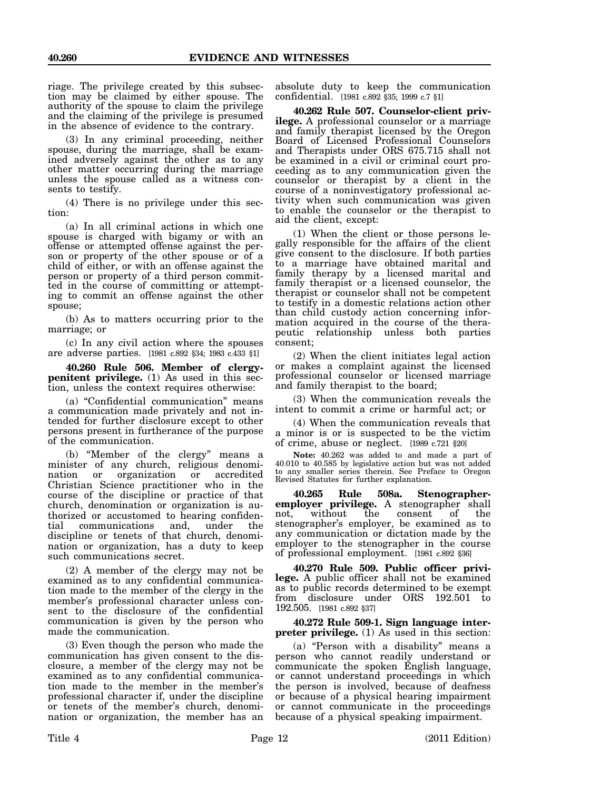riage. The privilege created by this subsection may be claimed by either spouse. The authority of the spouse to claim the privilege and the claiming of the privilege is presumed in the absence of evidence to the contrary.

(3) In any criminal proceeding, neither spouse, during the marriage, shall be examined adversely against the other as to any other matter occurring during the marriage unless the spouse called as a witness consents to testify.

(4) There is no privilege under this section:

(a) In all criminal actions in which one spouse is charged with bigamy or with an offense or attempted offense against the person or property of the other spouse or of a child of either, or with an offense against the person or property of a third person committed in the course of committing or attempting to commit an offense against the other spouse;

(b) As to matters occurring prior to the marriage; or

(c) In any civil action where the spouses are adverse parties. [1981 c.892 §34; 1983 c.433 §1]

**40.260 Rule 506. Member of clergypenitent privilege.** (1) As used in this section, unless the context requires otherwise:

(a) "Confidential communication" means a communication made privately and not intended for further disclosure except to other persons present in furtherance of the purpose of the communication.

(b) "Member of the clergy" means a minister of any church, religious denomination or organization or accredited nation or organization or Christian Science practitioner who in the course of the discipline or practice of that church, denomination or organization is authorized or accustomed to hearing confidential communications and, under the discipline or tenets of that church, denomination or organization, has a duty to keep such communications secret.

(2) A member of the clergy may not be examined as to any confidential communication made to the member of the clergy in the member's professional character unless consent to the disclosure of the confidential communication is given by the person who made the communication.

(3) Even though the person who made the communication has given consent to the disclosure, a member of the clergy may not be examined as to any confidential communication made to the member in the member's professional character if, under the discipline or tenets of the member's church, denomination or organization, the member has an

absolute duty to keep the communication confidential. [1981 c.892 §35; 1999 c.7 §1]

**40.262 Rule 507. Counselor-client privilege.** A professional counselor or a marriage and family therapist licensed by the Oregon Board of Licensed Professional Counselors and Therapists under ORS 675.715 shall not be examined in a civil or criminal court proceeding as to any communication given the counselor or therapist by a client in the course of a noninvestigatory professional activity when such communication was given to enable the counselor or the therapist to aid the client, except:

(1) When the client or those persons legally responsible for the affairs of the client give consent to the disclosure. If both parties to a marriage have obtained marital and family therapy by a licensed marital and family therapist or a licensed counselor, the therapist or counselor shall not be competent to testify in a domestic relations action other than child custody action concerning information acquired in the course of the therapeutic relationship unless both parties consent;

(2) When the client initiates legal action or makes a complaint against the licensed professional counselor or licensed marriage and family therapist to the board;

(3) When the communication reveals the intent to commit a crime or harmful act; or

(4) When the communication reveals that a minor is or is suspected to be the victim of crime, abuse or neglect. [1989 c.721 §20]

**Note:** 40.262 was added to and made a part of 40.010 to 40.585 by legislative action but was not added to any smaller series therein. See Preface to Oregon Revised Statutes for further explanation.

**40.265 Rule 508a. Stenographeremployer privilege.** A stenographer shall not, without the consent of the stenographer's employer, be examined as to any communication or dictation made by the employer to the stenographer in the course of professional employment. [1981 c.892 §36]

**40.270 Rule 509. Public officer privilege.** A public officer shall not be examined as to public records determined to be exempt from disclosure under ORS 192.501 to 192.505. [1981 c.892 §37]

**40.272 Rule 509-1. Sign language interpreter privilege.** (1) As used in this section:

(a) "Person with a disability" means a person who cannot readily understand or communicate the spoken English language, or cannot understand proceedings in which the person is involved, because of deafness or because of a physical hearing impairment or cannot communicate in the proceedings because of a physical speaking impairment.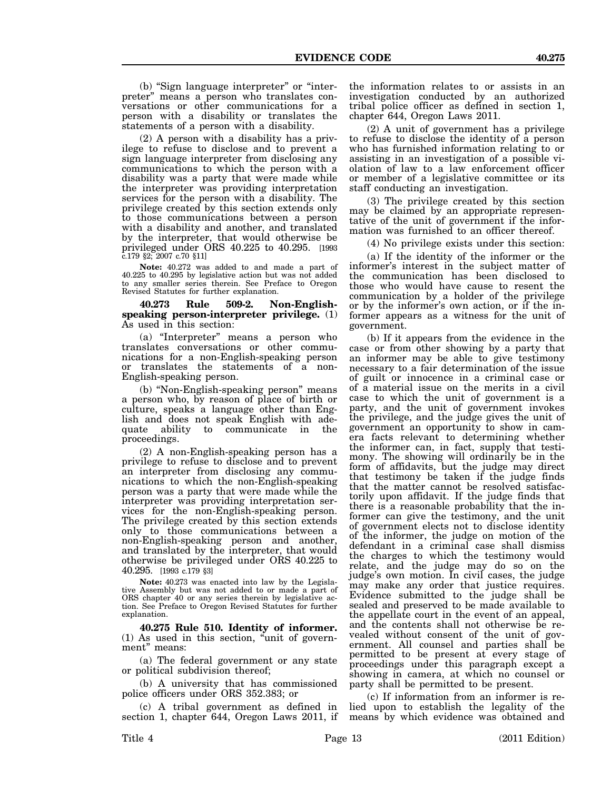statements of a person with a disability. (2) A person with a disability has a privilege to refuse to disclose and to prevent a sign language interpreter from disclosing any communications to which the person with a disability was a party that were made while the interpreter was providing interpretation services for the person with a disability. The privilege created by this section extends only to those communications between a person with a disability and another, and translated by the interpreter, that would otherwise be privileged under ORS 40.225 to 40.295. [1993 c.179 §2; 2007 c.70 §11]

**Note:** 40.272 was added to and made a part of 40.225 to 40.295 by legislative action but was not added to any smaller series therein. See Preface to Oregon Revised Statutes for further explanation.

**40.273 Rule 509-2. Non-Englishspeaking person-interpreter privilege.** (1) As used in this section:

(a) "Interpreter" means a person who translates conversations or other communications for a non-English-speaking person or translates the statements of a non-English-speaking person.

(b) "Non-English-speaking person" means a person who, by reason of place of birth or culture, speaks a language other than English and does not speak English with adequate ability to communicate in the proceedings.

(2) A non-English-speaking person has a privilege to refuse to disclose and to prevent an interpreter from disclosing any communications to which the non-English-speaking person was a party that were made while the interpreter was providing interpretation services for the non-English-speaking person. The privilege created by this section extends only to those communications between a non-English-speaking person and another, and translated by the interpreter, that would otherwise be privileged under ORS 40.225 to 40.295. [1993 c.179 §3]

**Note:** 40.273 was enacted into law by the Legislative Assembly but was not added to or made a part of ORS chapter 40 or any series therein by legislative action. See Preface to Oregon Revised Statutes for further explanation.

**40.275 Rule 510. Identity of informer.** (1) As used in this section, "unit of government" means:

(a) The federal government or any state or political subdivision thereof;

(b) A university that has commissioned police officers under ORS 352.383; or

(c) A tribal government as defined in section 1, chapter 644, Oregon Laws 2011, if the information relates to or assists in an investigation conducted by an authorized tribal police officer as defined in section 1, chapter 644, Oregon Laws 2011.

(2) A unit of government has a privilege to refuse to disclose the identity of a person who has furnished information relating to or assisting in an investigation of a possible violation of law to a law enforcement officer or member of a legislative committee or its staff conducting an investigation.

(3) The privilege created by this section may be claimed by an appropriate representative of the unit of government if the information was furnished to an officer thereof.

(4) No privilege exists under this section:

(a) If the identity of the informer or the informer's interest in the subject matter of the communication has been disclosed to those who would have cause to resent the communication by a holder of the privilege or by the informer's own action, or if the informer appears as a witness for the unit of government.

(b) If it appears from the evidence in the case or from other showing by a party that an informer may be able to give testimony necessary to a fair determination of the issue of guilt or innocence in a criminal case or of a material issue on the merits in a civil case to which the unit of government is a party, and the unit of government invokes the privilege, and the judge gives the unit of government an opportunity to show in camera facts relevant to determining whether the informer can, in fact, supply that testimony. The showing will ordinarily be in the form of affidavits, but the judge may direct that testimony be taken if the judge finds that the matter cannot be resolved satisfactorily upon affidavit. If the judge finds that there is a reasonable probability that the informer can give the testimony, and the unit of government elects not to disclose identity of the informer, the judge on motion of the defendant in a criminal case shall dismiss the charges to which the testimony would relate, and the judge may do so on the judge's own motion. In civil cases, the judge may make any order that justice requires. Evidence submitted to the judge shall be sealed and preserved to be made available to the appellate court in the event of an appeal, and the contents shall not otherwise be revealed without consent of the unit of government. All counsel and parties shall be permitted to be present at every stage of proceedings under this paragraph except a showing in camera, at which no counsel or party shall be permitted to be present.

(c) If information from an informer is relied upon to establish the legality of the means by which evidence was obtained and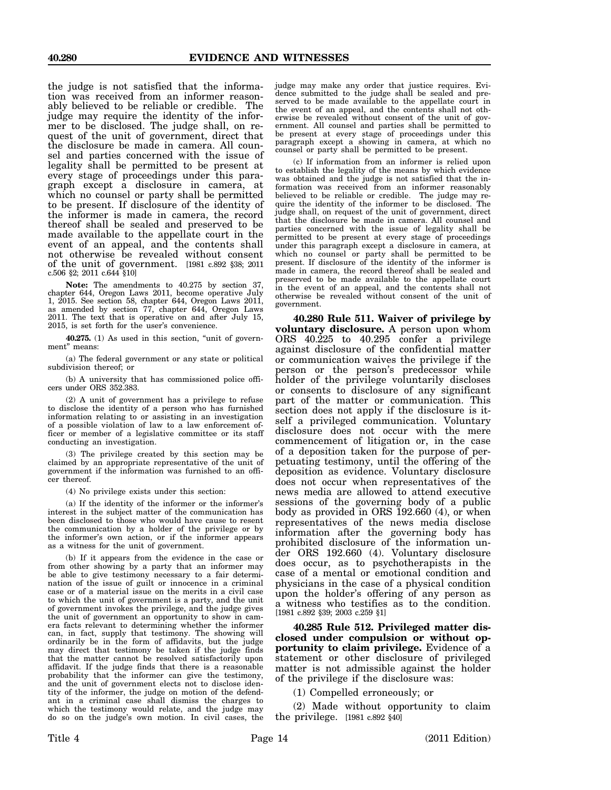the judge is not satisfied that the information was received from an informer reasonably believed to be reliable or credible. The judge may require the identity of the informer to be disclosed. The judge shall, on request of the unit of government, direct that the disclosure be made in camera. All counsel and parties concerned with the issue of legality shall be permitted to be present at every stage of proceedings under this paragraph except a disclosure in camera, at which no counsel or party shall be permitted to be present. If disclosure of the identity of the informer is made in camera, the record thereof shall be sealed and preserved to be made available to the appellate court in the event of an appeal, and the contents shall not otherwise be revealed without consent of the unit of government. [1981 c.892 §38; 2011 c.506 §2; 2011 c.644 §10]

**Note:** The amendments to 40.275 by section 37, chapter 644, Oregon Laws 2011, become operative July 1, 2015. See section 58, chapter 644, Oregon Laws 2011, as amended by section 77, chapter 644, Oregon Laws 2011. The text that is operative on and after July 15, 2015, is set forth for the user's convenience.

**40.275.** (1) As used in this section, "unit of government" means:

(a) The federal government or any state or political subdivision thereof; or

(b) A university that has commissioned police officers under ORS 352.383.

(2) A unit of government has a privilege to refuse to disclose the identity of a person who has furnished information relating to or assisting in an investigation of a possible violation of law to a law enforcement officer or member of a legislative committee or its staff conducting an investigation.

(3) The privilege created by this section may be claimed by an appropriate representative of the unit of government if the information was furnished to an officer thereof.

(4) No privilege exists under this section:

(a) If the identity of the informer or the informer's interest in the subject matter of the communication has been disclosed to those who would have cause to resent the communication by a holder of the privilege or by the informer's own action, or if the informer appears as a witness for the unit of government.

(b) If it appears from the evidence in the case or from other showing by a party that an informer may be able to give testimony necessary to a fair determination of the issue of guilt or innocence in a criminal case or of a material issue on the merits in a civil case to which the unit of government is a party, and the unit of government invokes the privilege, and the judge gives the unit of government an opportunity to show in camera facts relevant to determining whether the informer can, in fact, supply that testimony. The showing will ordinarily be in the form of affidavits, but the judge may direct that testimony be taken if the judge finds that the matter cannot be resolved satisfactorily upon affidavit. If the judge finds that there is a reasonable probability that the informer can give the testimony, and the unit of government elects not to disclose identity of the informer, the judge on motion of the defendant in a criminal case shall dismiss the charges to which the testimony would relate, and the judge may do so on the judge's own motion. In civil cases, the

judge may make any order that justice requires. Evidence submitted to the judge shall be sealed and preserved to be made available to the appellate court in the event of an appeal, and the contents shall not otherwise be revealed without consent of the unit of government. All counsel and parties shall be permitted to be present at every stage of proceedings under this paragraph except a showing in camera, at which no counsel or party shall be permitted to be present.

(c) If information from an informer is relied upon to establish the legality of the means by which evidence was obtained and the judge is not satisfied that the information was received from an informer reasonably believed to be reliable or credible. The judge may require the identity of the informer to be disclosed. The judge shall, on request of the unit of government, direct that the disclosure be made in camera. All counsel and parties concerned with the issue of legality shall be permitted to be present at every stage of proceedings under this paragraph except a disclosure in camera, at which no counsel or party shall be permitted to be present. If disclosure of the identity of the informer is made in camera, the record thereof shall be sealed and preserved to be made available to the appellate court in the event of an appeal, and the contents shall not otherwise be revealed without consent of the unit of government.

**40.280 Rule 511. Waiver of privilege by voluntary disclosure.** A person upon whom ORS 40.225 to 40.295 confer a privilege against disclosure of the confidential matter or communication waives the privilege if the person or the person's predecessor while holder of the privilege voluntarily discloses or consents to disclosure of any significant part of the matter or communication. This section does not apply if the disclosure is itself a privileged communication. Voluntary disclosure does not occur with the mere commencement of litigation or, in the case of a deposition taken for the purpose of perpetuating testimony, until the offering of the deposition as evidence. Voluntary disclosure does not occur when representatives of the news media are allowed to attend executive sessions of the governing body of a public body as provided in ORS 192.660 (4), or when representatives of the news media disclose information after the governing body has prohibited disclosure of the information under ORS 192.660 (4). Voluntary disclosure does occur, as to psychotherapists in the case of a mental or emotional condition and physicians in the case of a physical condition upon the holder's offering of any person as a witness who testifies as to the condition. [1981 c.892 §39; 2003 c.259 §1]

**40.285 Rule 512. Privileged matter disclosed under compulsion or without opportunity to claim privilege.** Evidence of a statement or other disclosure of privileged matter is not admissible against the holder of the privilege if the disclosure was:

(1) Compelled erroneously; or

(2) Made without opportunity to claim the privilege. [1981 c.892 §40]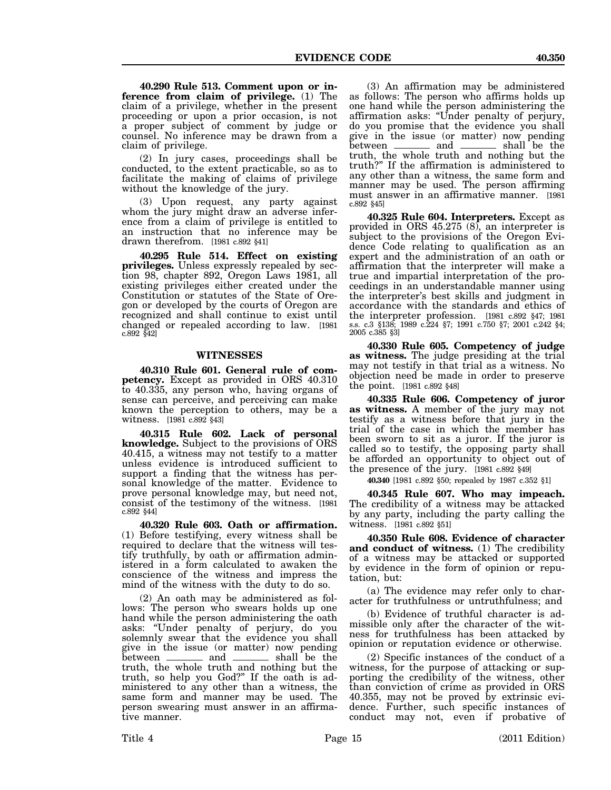counsel. No inference may be drawn from a claim of privilege. (2) In jury cases, proceedings shall be conducted, to the extent practicable, so as to facilitate the making of claims of privilege without the knowledge of the jury.

(3) Upon request, any party against whom the jury might draw an adverse inference from a claim of privilege is entitled to an instruction that no inference may be drawn therefrom. [1981 c.892 §41]

**40.295 Rule 514. Effect on existing privileges.** Unless expressly repealed by section 98, chapter 892, Oregon Laws 1981, all existing privileges either created under the Constitution or statutes of the State of Oregon or developed by the courts of Oregon are recognized and shall continue to exist until changed or repealed according to law. [1981 c.892 §42]

#### **WITNESSES**

**40.310 Rule 601. General rule of competency.** Except as provided in ORS 40.310 to 40.335, any person who, having organs of sense can perceive, and perceiving can make known the perception to others, may be a witness. [1981 c.892 §43]

**40.315 Rule 602. Lack of personal knowledge.** Subject to the provisions of ORS 40.415, a witness may not testify to a matter unless evidence is introduced sufficient to support a finding that the witness has personal knowledge of the matter. Evidence to prove personal knowledge may, but need not, consist of the testimony of the witness. [1981 c.892 §44]

**40.320 Rule 603. Oath or affirmation.** (1) Before testifying, every witness shall be required to declare that the witness will testify truthfully, by oath or affirmation administered in a form calculated to awaken the conscience of the witness and impress the mind of the witness with the duty to do so.

(2) An oath may be administered as follows: The person who swears holds up one hand while the person administering the oath asks: "Under penalty of perjury, do you solemnly swear that the evidence you shall give in the issue (or matter) now pending between \_\_\_\_\_\_\_\_ and \_\_\_\_\_\_\_ shall be the truth, the whole truth and nothing but the truth, so help you God?" If the oath is administered to any other than a witness, the same form and manner may be used. The person swearing must answer in an affirmative manner.

(3) An affirmation may be administered as follows: The person who affirms holds up one hand while the person administering the affirmation asks: "Under penalty of perjury, do you promise that the evidence you shall give in the issue (or matter) now pending between \_\_\_\_\_\_\_\_ and \_\_\_\_\_\_\_ shall be the truth, the whole truth and nothing but the truth?" If the affirmation is administered to any other than a witness, the same form and manner may be used. The person affirming must answer in an affirmative manner. [1981 c.892 §45]

**40.325 Rule 604. Interpreters.** Except as provided in ORS 45.275 (8), an interpreter is subject to the provisions of the Oregon Evidence Code relating to qualification as an expert and the administration of an oath or affirmation that the interpreter will make a true and impartial interpretation of the proceedings in an understandable manner using the interpreter's best skills and judgment in accordance with the standards and ethics of the interpreter profession. [1981 c.892 §47; 1981 s.s. c.3 §138; 1989 c.224 §7; 1991 c.750 §7; 2001 c.242 §4; 2005 c.385 §3]

**40.330 Rule 605. Competency of judge as witness.** The judge presiding at the trial may not testify in that trial as a witness. No objection need be made in order to preserve the point. [1981 c.892 §48]

**40.335 Rule 606. Competency of juror as witness.** A member of the jury may not testify as a witness before that jury in the trial of the case in which the member has been sworn to sit as a juror. If the juror is called so to testify, the opposing party shall be afforded an opportunity to object out of the presence of the jury. [1981 c.892 §49]

**40.340** [1981 c.892 §50; repealed by 1987 c.352 §1]

**40.345 Rule 607. Who may impeach.** The credibility of a witness may be attacked by any party, including the party calling the witness. [1981 c.892 §51]

**40.350 Rule 608. Evidence of character and conduct of witness.** (1) The credibility of a witness may be attacked or supported by evidence in the form of opinion or reputation, but:

(a) The evidence may refer only to character for truthfulness or untruthfulness; and

(b) Evidence of truthful character is admissible only after the character of the witness for truthfulness has been attacked by opinion or reputation evidence or otherwise.

(2) Specific instances of the conduct of a witness, for the purpose of attacking or supporting the credibility of the witness, other than conviction of crime as provided in ORS 40.355, may not be proved by extrinsic evidence. Further, such specific instances of conduct may not, even if probative of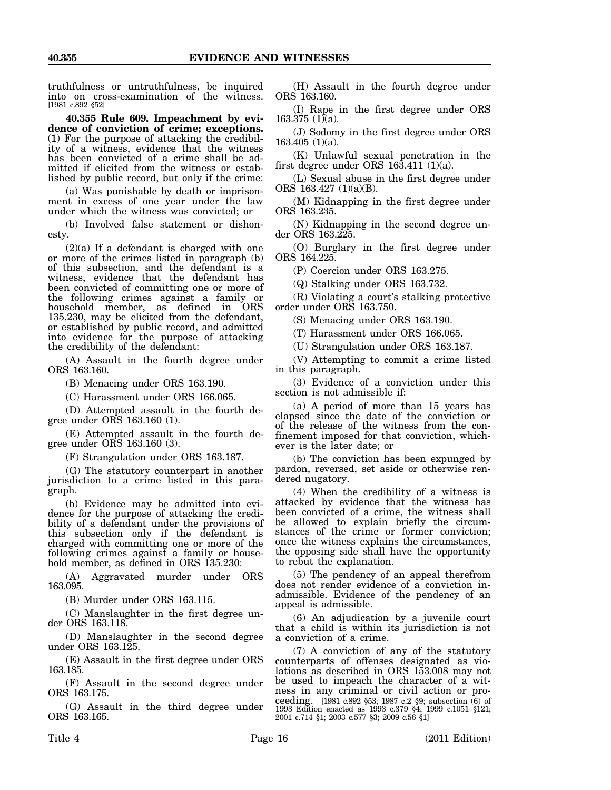truthfulness or untruthfulness, be inquired into on cross-examination of the witness. [1981 c.892 §52]

**40.355 Rule 609. Impeachment by evidence of conviction of crime; exceptions.** (1) For the purpose of attacking the credibility of a witness, evidence that the witness has been convicted of a crime shall be admitted if elicited from the witness or established by public record, but only if the crime:

(a) Was punishable by death or imprisonment in excess of one year under the law under which the witness was convicted; or

(b) Involved false statement or dishonesty.

 $(2)(a)$  If a defendant is charged with one or more of the crimes listed in paragraph (b) of this subsection, and the defendant is a witness, evidence that the defendant has been convicted of committing one or more of the following crimes against a family or household member, as defined in ORS 135.230, may be elicited from the defendant, or established by public record, and admitted into evidence for the purpose of attacking the credibility of the defendant:

(A) Assault in the fourth degree under ORS 163.160.

(B) Menacing under ORS 163.190.

(C) Harassment under ORS 166.065.

(D) Attempted assault in the fourth degree under ORS 163.160 (1).

(E) Attempted assault in the fourth degree under ORS 163.160 (3).

(F) Strangulation under ORS 163.187.

(G) The statutory counterpart in another jurisdiction to a crime listed in this paragraph.

(b) Evidence may be admitted into evidence for the purpose of attacking the credibility of a defendant under the provisions of this subsection only if the defendant is charged with committing one or more of the following crimes against a family or household member, as defined in ORS 135.230:

(A) Aggravated murder under ORS 163.095.

(B) Murder under ORS 163.115.

(C) Manslaughter in the first degree under ORS 163.118.

(D) Manslaughter in the second degree under ORS 163.125.

(E) Assault in the first degree under ORS 163.185.

(F) Assault in the second degree under ORS 163.175.

(G) Assault in the third degree under ORS 163.165.

(H) Assault in the fourth degree under ORS 163.160.

(I) Rape in the first degree under ORS 163.375  $(1)(a)$ .

(J) Sodomy in the first degree under ORS 163.405 (1)(a).

(K) Unlawful sexual penetration in the first degree under ORS  $16\overline{3}$ .411  $(1)(a)$ .

(L) Sexual abuse in the first degree under ORS 163.427 (1)(a)(B).

(M) Kidnapping in the first degree under ORS 163.235.

(N) Kidnapping in the second degree under ORS 163.225.

(O) Burglary in the first degree under ORS 164.225.

(P) Coercion under ORS 163.275.

(Q) Stalking under ORS 163.732.

(R) Violating a court's stalking protective order under ORS 163.750.

(S) Menacing under ORS 163.190.

(T) Harassment under ORS 166.065.

(U) Strangulation under ORS 163.187.

(V) Attempting to commit a crime listed in this paragraph.

(3) Evidence of a conviction under this section is not admissible if:

(a) A period of more than 15 years has elapsed since the date of the conviction or of the release of the witness from the confinement imposed for that conviction, whichever is the later date; or

(b) The conviction has been expunged by pardon, reversed, set aside or otherwise rendered nugatory.

(4) When the credibility of a witness is attacked by evidence that the witness has been convicted of a crime, the witness shall be allowed to explain briefly the circumstances of the crime or former conviction; once the witness explains the circumstances, the opposing side shall have the opportunity to rebut the explanation.

(5) The pendency of an appeal therefrom does not render evidence of a conviction inadmissible. Evidence of the pendency of an appeal is admissible.

(6) An adjudication by a juvenile court that a child is within its jurisdiction is not a conviction of a crime.

(7) A conviction of any of the statutory counterparts of offenses designated as violations as described in ORS 153.008 may not be used to impeach the character of a witness in any criminal or civil action or proceeding. [1981 c.892 §53; 1987 c.2 §9; subsection (6) of 1993 Edition enacted as 1993 c.379 §4; 1999 c.1051 §121; 2001 c.714 §1; 2003 c.577 §3; 2009 c.56 §1]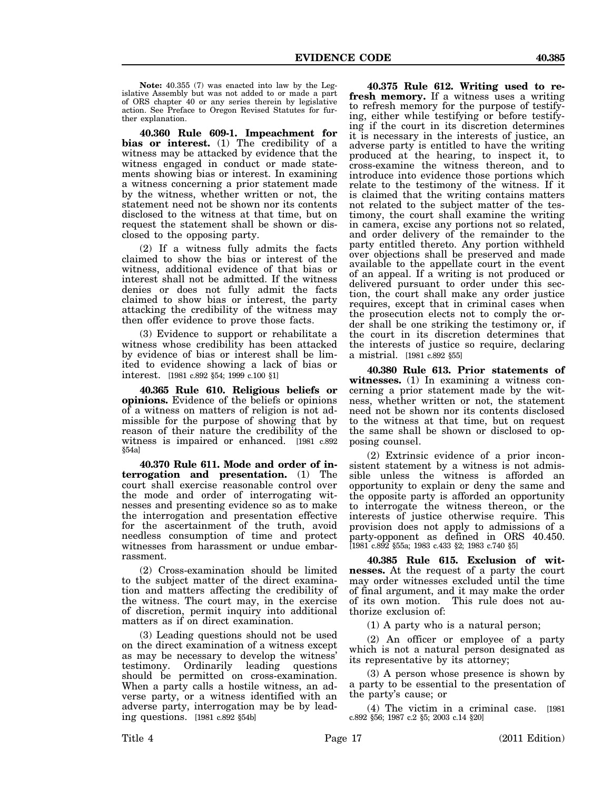**Note:** 40.355 (7) was enacted into law by the Legislative Assembly but was not added to or made a part of ORS chapter 40 or any series therein by legislative action. See Preface to Oregon Revised Statutes for further explanation.

**40.360 Rule 609-1. Impeachment for** bias or interest. (1) The credibility of a witness may be attacked by evidence that the witness engaged in conduct or made statements showing bias or interest. In examining a witness concerning a prior statement made by the witness, whether written or not, the statement need not be shown nor its contents disclosed to the witness at that time, but on request the statement shall be shown or disclosed to the opposing party.

(2) If a witness fully admits the facts claimed to show the bias or interest of the witness, additional evidence of that bias or interest shall not be admitted. If the witness denies or does not fully admit the facts claimed to show bias or interest, the party attacking the credibility of the witness may then offer evidence to prove those facts.

(3) Evidence to support or rehabilitate a witness whose credibility has been attacked by evidence of bias or interest shall be limited to evidence showing a lack of bias or interest. [1981 c.892 §54; 1999 c.100 §1]

**40.365 Rule 610. Religious beliefs or opinions.** Evidence of the beliefs or opinions of a witness on matters of religion is not admissible for the purpose of showing that by reason of their nature the credibility of the witness is impaired or enhanced. [1981 c.892 §54a]

**40.370 Rule 611. Mode and order of interrogation and presentation.** (1) The court shall exercise reasonable control over the mode and order of interrogating witnesses and presenting evidence so as to make the interrogation and presentation effective for the ascertainment of the truth, avoid needless consumption of time and protect witnesses from harassment or undue embarrassment.

(2) Cross-examination should be limited to the subject matter of the direct examination and matters affecting the credibility of the witness. The court may, in the exercise of discretion, permit inquiry into additional matters as if on direct examination.

(3) Leading questions should not be used on the direct examination of a witness except as may be necessary to develop the witness' testimony. Ordinarily leading questions should be permitted on cross-examination. When a party calls a hostile witness, an adverse party, or a witness identified with an adverse party, interrogation may be by leading questions. [1981 c.892 §54b]

**40.375 Rule 612. Writing used to refresh memory.** If a witness uses a writing to refresh memory for the purpose of testifying, either while testifying or before testifying if the court in its discretion determines it is necessary in the interests of justice, an adverse party is entitled to have the writing produced at the hearing, to inspect it, to cross-examine the witness thereon, and to introduce into evidence those portions which relate to the testimony of the witness. If it is claimed that the writing contains matters not related to the subject matter of the testimony, the court shall examine the writing in camera, excise any portions not so related, and order delivery of the remainder to the party entitled thereto. Any portion withheld over objections shall be preserved and made available to the appellate court in the event of an appeal. If a writing is not produced or delivered pursuant to order under this section, the court shall make any order justice requires, except that in criminal cases when the prosecution elects not to comply the order shall be one striking the testimony or, if the court in its discretion determines that the interests of justice so require, declaring a mistrial. [1981 c.892 §55]

**40.380 Rule 613. Prior statements of witnesses.** (1) In examining a witness concerning a prior statement made by the witness, whether written or not, the statement need not be shown nor its contents disclosed to the witness at that time, but on request the same shall be shown or disclosed to opposing counsel.

(2) Extrinsic evidence of a prior inconsistent statement by a witness is not admissible unless the witness is afforded an opportunity to explain or deny the same and the opposite party is afforded an opportunity to interrogate the witness thereon, or the interests of justice otherwise require. This provision does not apply to admissions of a party-opponent as defined in ORS 40.450. [1981 c.892 §55a; 1983 c.433 §2; 1983 c.740 §5]

**40.385 Rule 615. Exclusion of witnesses.** At the request of a party the court may order witnesses excluded until the time of final argument, and it may make the order of its own motion. This rule does not authorize exclusion of:

(1) A party who is a natural person;

(2) An officer or employee of a party which is not a natural person designated as its representative by its attorney;

(3) A person whose presence is shown by a party to be essential to the presentation of the party's cause; or

(4) The victim in a criminal case. [1981 c.892 §56; 1987 c.2 §5; 2003 c.14 §20]

Title 4 Page 17 (2011 Edition)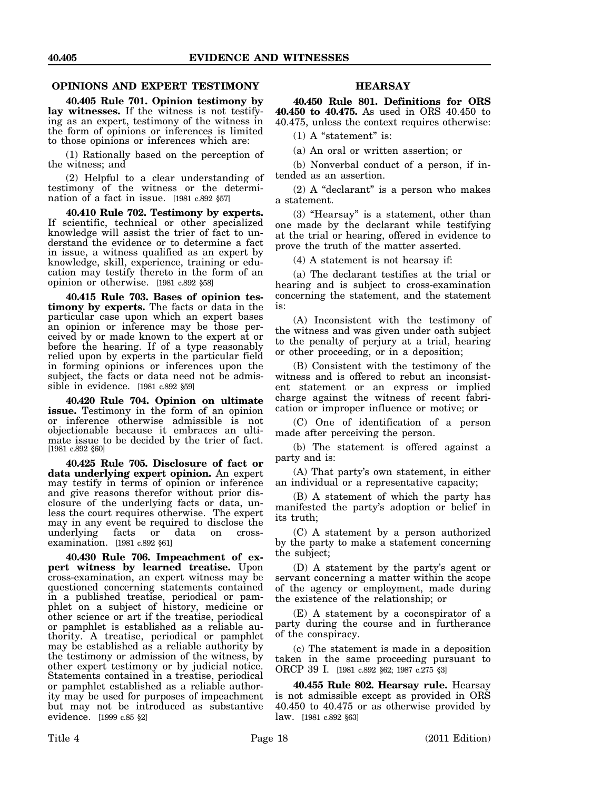### **OPINIONS AND EXPERT TESTIMONY**

**40.405 Rule 701. Opinion testimony by lay witnesses.** If the witness is not testifying as an expert, testimony of the witness in the form of opinions or inferences is limited to those opinions or inferences which are:

(1) Rationally based on the perception of the witness; and

(2) Helpful to a clear understanding of testimony of the witness or the determination of a fact in issue.  $[1981 c.892 §57]$ 

**40.410 Rule 702. Testimony by experts.** If scientific, technical or other specialized knowledge will assist the trier of fact to understand the evidence or to determine a fact in issue, a witness qualified as an expert by knowledge, skill, experience, training or education may testify thereto in the form of an opinion or otherwise. [1981 c.892 §58]

**40.415 Rule 703. Bases of opinion testimony by experts.** The facts or data in the particular case upon which an expert bases an opinion or inference may be those perceived by or made known to the expert at or before the hearing. If of a type reasonably relied upon by experts in the particular field in forming opinions or inferences upon the subject, the facts or data need not be admissible in evidence. [1981 c.892 §59]

**40.420 Rule 704. Opinion on ultimate issue.** Testimony in the form of an opinion or inference otherwise admissible is not objectionable because it embraces an ultimate issue to be decided by the trier of fact. [1981 c.892 §60]

**40.425 Rule 705. Disclosure of fact or data underlying expert opinion.** An expert may testify in terms of opinion or inference and give reasons therefor without prior disclosure of the underlying facts or data, unless the court requires otherwise. The expert may in any event be required to disclose the<br>underlying facts or data on crossunderlying examination. [1981 c.892 §61]

**40.430 Rule 706. Impeachment of expert witness by learned treatise.** Upon cross-examination, an expert witness may be questioned concerning statements contained in a published treatise, periodical or pamphlet on a subject of history, medicine or other science or art if the treatise, periodical or pamphlet is established as a reliable authority. A treatise, periodical or pamphlet may be established as a reliable authority by the testimony or admission of the witness, by other expert testimony or by judicial notice. Statements contained in a treatise, periodical or pamphlet established as a reliable authority may be used for purposes of impeachment but may not be introduced as substantive evidence. [1999 c.85 §2]

#### **HEARSAY**

**40.450 Rule 801. Definitions for ORS 40.450 to 40.475.** As used in ORS 40.450 to 40.475, unless the context requires otherwise:

 $(1)$  A "statement" is:

(a) An oral or written assertion; or

(b) Nonverbal conduct of a person, if intended as an assertion.

(2) A "declarant" is a person who makes a statement.

(3) "Hearsay" is a statement, other than one made by the declarant while testifying at the trial or hearing, offered in evidence to prove the truth of the matter asserted.

(4) A statement is not hearsay if:

(a) The declarant testifies at the trial or hearing and is subject to cross-examination concerning the statement, and the statement is:

(A) Inconsistent with the testimony of the witness and was given under oath subject to the penalty of perjury at a trial, hearing or other proceeding, or in a deposition;

(B) Consistent with the testimony of the witness and is offered to rebut an inconsistent statement or an express or implied charge against the witness of recent fabrication or improper influence or motive; or

(C) One of identification of a person made after perceiving the person.

(b) The statement is offered against a party and is:

(A) That party's own statement, in either an individual or a representative capacity;

(B) A statement of which the party has manifested the party's adoption or belief in its truth;

(C) A statement by a person authorized by the party to make a statement concerning the subject;

(D) A statement by the party's agent or servant concerning a matter within the scope of the agency or employment, made during the existence of the relationship; or

(E) A statement by a coconspirator of a party during the course and in furtherance of the conspiracy.

(c) The statement is made in a deposition taken in the same proceeding pursuant to ORCP 39 I. [1981 c.892 §62; 1987 c.275 §3]

**40.455 Rule 802. Hearsay rule.** Hearsay is not admissible except as provided in ORS 40.450 to 40.475 or as otherwise provided by law. [1981 c.892 §63]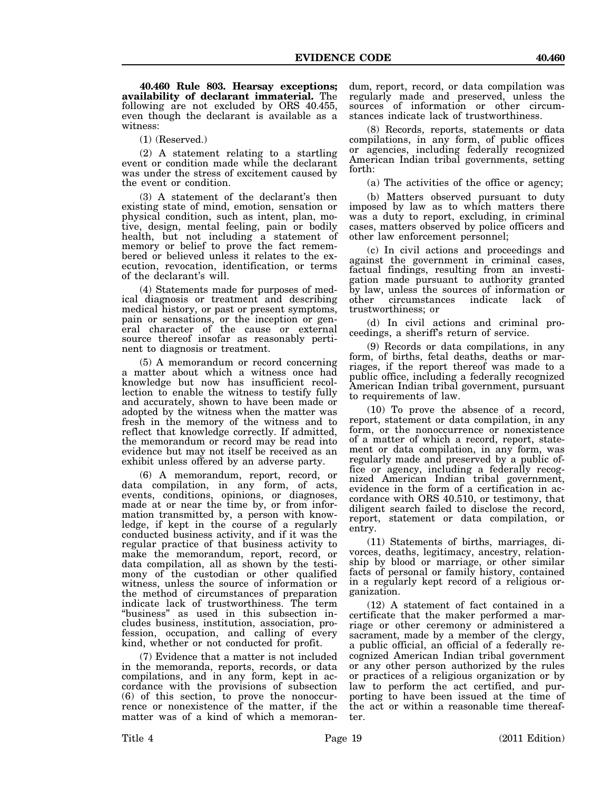**40.460 Rule 803. Hearsay exceptions; availability of declarant immaterial.** The following are not excluded by ORS 40.455, even though the declarant is available as a witness:

(1) (Reserved.)

(2) A statement relating to a startling event or condition made while the declarant was under the stress of excitement caused by the event or condition.

(3) A statement of the declarant's then existing state of mind, emotion, sensation or physical condition, such as intent, plan, motive, design, mental feeling, pain or bodily health, but not including a statement of memory or belief to prove the fact remembered or believed unless it relates to the execution, revocation, identification, or terms of the declarant's will.

(4) Statements made for purposes of medical diagnosis or treatment and describing medical history, or past or present symptoms, pain or sensations, or the inception or general character of the cause or external source thereof insofar as reasonably pertinent to diagnosis or treatment.

(5) A memorandum or record concerning a matter about which a witness once had knowledge but now has insufficient recollection to enable the witness to testify fully and accurately, shown to have been made or adopted by the witness when the matter was fresh in the memory of the witness and to reflect that knowledge correctly. If admitted, the memorandum or record may be read into evidence but may not itself be received as an exhibit unless offered by an adverse party.

(6) A memorandum, report, record, or data compilation, in any form, of acts, events, conditions, opinions, or diagnoses, made at or near the time by, or from information transmitted by, a person with knowledge, if kept in the course of a regularly conducted business activity, and if it was the regular practice of that business activity to make the memorandum, report, record, or data compilation, all as shown by the testimony of the custodian or other qualified witness, unless the source of information or the method of circumstances of preparation indicate lack of trustworthiness. The term "business" as used in this subsection includes business, institution, association, profession, occupation, and calling of every kind, whether or not conducted for profit.

(7) Evidence that a matter is not included in the memoranda, reports, records, or data compilations, and in any form, kept in accordance with the provisions of subsection (6) of this section, to prove the nonoccurrence or nonexistence of the matter, if the matter was of a kind of which a memorandum, report, record, or data compilation was regularly made and preserved, unless the sources of information or other circumstances indicate lack of trustworthiness.

(8) Records, reports, statements or data compilations, in any form, of public offices or agencies, including federally recognized American Indian tribal governments, setting forth:

(a) The activities of the office or agency;

(b) Matters observed pursuant to duty imposed by law as to which matters there was a duty to report, excluding, in criminal cases, matters observed by police officers and other law enforcement personnel;

(c) In civil actions and proceedings and against the government in criminal cases, factual findings, resulting from an investigation made pursuant to authority granted by law, unless the sources of information or other circumstances indicate lack of trustworthiness; or

(d) In civil actions and criminal proceedings, a sheriff's return of service.

(9) Records or data compilations, in any form, of births, fetal deaths, deaths or marriages, if the report thereof was made to a public office, including a federally recognized American Indian tribal government, pursuant to requirements of law.

(10) To prove the absence of a record, report, statement or data compilation, in any form, or the nonoccurrence or nonexistence of a matter of which a record, report, statement or data compilation, in any form, was regularly made and preserved by a public office or agency, including a federally recognized American Indian tribal government, evidence in the form of a certification in accordance with ORS 40.510, or testimony, that diligent search failed to disclose the record, report, statement or data compilation, or entry.

(11) Statements of births, marriages, divorces, deaths, legitimacy, ancestry, relationship by blood or marriage, or other similar facts of personal or family history, contained in a regularly kept record of a religious organization.

(12) A statement of fact contained in a certificate that the maker performed a marriage or other ceremony or administered a sacrament, made by a member of the clergy, a public official, an official of a federally recognized American Indian tribal government or any other person authorized by the rules or practices of a religious organization or by law to perform the act certified, and purporting to have been issued at the time of the act or within a reasonable time thereafter.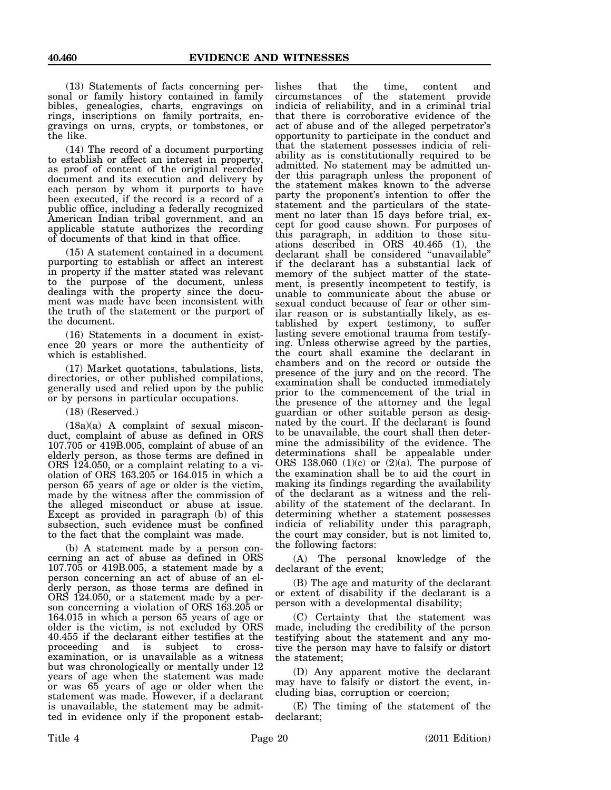(13) Statements of facts concerning personal or family history contained in family bibles, genealogies, charts, engravings on rings, inscriptions on family portraits, engravings on urns, crypts, or tombstones, or the like.

(14) The record of a document purporting to establish or affect an interest in property, as proof of content of the original recorded document and its execution and delivery by each person by whom it purports to have been executed, if the record is a record of a public office, including a federally recognized American Indian tribal government, and an applicable statute authorizes the recording of documents of that kind in that office.

(15) A statement contained in a document purporting to establish or affect an interest in property if the matter stated was relevant to the purpose of the document, unless dealings with the property since the document was made have been inconsistent with the truth of the statement or the purport of the document.

(16) Statements in a document in existence 20 years or more the authenticity of which is established.

(17) Market quotations, tabulations, lists, directories, or other published compilations, generally used and relied upon by the public or by persons in particular occupations.

(18) (Reserved.)

(18a)(a) A complaint of sexual misconduct, complaint of abuse as defined in ORS 107.705 or 419B.005, complaint of abuse of an elderly person, as those terms are defined in ORS 124.050, or a complaint relating to a violation of ORS 163.205 or 164.015 in which a person 65 years of age or older is the victim, made by the witness after the commission of the alleged misconduct or abuse at issue. Except as provided in paragraph (b) of this subsection, such evidence must be confined to the fact that the complaint was made.

(b) A statement made by a person concerning an act of abuse as defined in ORS 107.705 or 419B.005, a statement made by a person concerning an act of abuse of an elderly person, as those terms are defined in ORS 124.050, or a statement made by a person concerning a violation of ORS 163.205 or 164.015 in which a person 65 years of age or older is the victim, is not excluded by ORS 40.455 if the declarant either testifies at the proceeding and is subject to crossexamination, or is unavailable as a witness but was chronologically or mentally under 12 years of age when the statement was made or was 65 years of age or older when the statement was made. However, if a declarant is unavailable, the statement may be admitted in evidence only if the proponent establishes that the time, content and circumstances of the statement provide indicia of reliability, and in a criminal trial that there is corroborative evidence of the act of abuse and of the alleged perpetrator's opportunity to participate in the conduct and that the statement possesses indicia of reliability as is constitutionally required to be admitted. No statement may be admitted under this paragraph unless the proponent of the statement makes known to the adverse party the proponent's intention to offer the statement and the particulars of the statement no later than 15 days before trial, except for good cause shown. For purposes of this paragraph, in addition to those situations described in ORS 40.465 (1), the declarant shall be considered "unavailable" if the declarant has a substantial lack of memory of the subject matter of the statement, is presently incompetent to testify, is unable to communicate about the abuse or sexual conduct because of fear or other similar reason or is substantially likely, as established by expert testimony, to suffer lasting severe emotional trauma from testifying. Unless otherwise agreed by the parties, the court shall examine the declarant in chambers and on the record or outside the presence of the jury and on the record. The examination shall be conducted immediately prior to the commencement of the trial in the presence of the attorney and the legal guardian or other suitable person as designated by the court. If the declarant is found to be unavailable, the court shall then determine the admissibility of the evidence. The determinations shall be appealable under ORS  $138.060$   $(1)(c)$  or  $(2)(a)$ . The purpose of the examination shall be to aid the court in making its findings regarding the availability of the declarant as a witness and the reliability of the statement of the declarant. In determining whether a statement possesses indicia of reliability under this paragraph, the court may consider, but is not limited to, the following factors:

(A) The personal knowledge of the declarant of the event;

(B) The age and maturity of the declarant or extent of disability if the declarant is a person with a developmental disability;

(C) Certainty that the statement was made, including the credibility of the person testifying about the statement and any motive the person may have to falsify or distort the statement;

(D) Any apparent motive the declarant may have to falsify or distort the event, including bias, corruption or coercion;

(E) The timing of the statement of the declarant;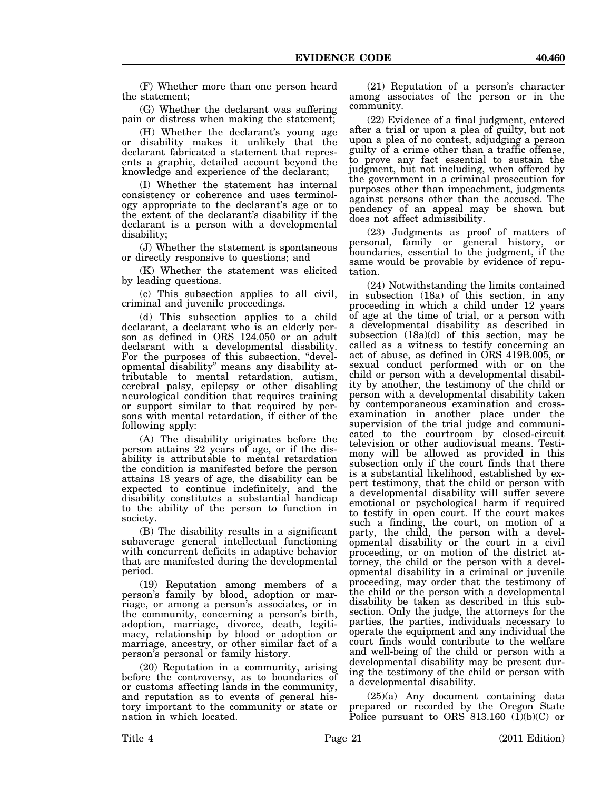(F) Whether more than one person heard the statement;

(G) Whether the declarant was suffering pain or distress when making the statement;

(H) Whether the declarant's young age or disability makes it unlikely that the declarant fabricated a statement that represents a graphic, detailed account beyond the knowledge and experience of the declarant;

(I) Whether the statement has internal consistency or coherence and uses terminology appropriate to the declarant's age or to the extent of the declarant's disability if the declarant is a person with a developmental disability;

(J) Whether the statement is spontaneous or directly responsive to questions; and

(K) Whether the statement was elicited by leading questions.

(c) This subsection applies to all civil, criminal and juvenile proceedings.

(d) This subsection applies to a child declarant, a declarant who is an elderly person as defined in ORS 124.050 or an adult declarant with a developmental disability. For the purposes of this subsection, "developmental disability" means any disability attributable to mental retardation, autism, cerebral palsy, epilepsy or other disabling neurological condition that requires training or support similar to that required by persons with mental retardation, if either of the following apply:

(A) The disability originates before the person attains 22 years of age, or if the disability is attributable to mental retardation the condition is manifested before the person attains 18 years of age, the disability can be expected to continue indefinitely, and the disability constitutes a substantial handicap to the ability of the person to function in society.

(B) The disability results in a significant subaverage general intellectual functioning with concurrent deficits in adaptive behavior that are manifested during the developmental period.

(19) Reputation among members of a person's family by blood, adoption or marriage, or among a person's associates, or in the community, concerning a person's birth, adoption, marriage, divorce, death, legitimacy, relationship by blood or adoption or marriage, ancestry, or other similar fact of a person's personal or family history.

(20) Reputation in a community, arising before the controversy, as to boundaries of or customs affecting lands in the community, and reputation as to events of general history important to the community or state or nation in which located.

(21) Reputation of a person's character among associates of the person or in the community.

(22) Evidence of a final judgment, entered after a trial or upon a plea of guilty, but not upon a plea of no contest, adjudging a person guilty of a crime other than a traffic offense, to prove any fact essential to sustain the judgment, but not including, when offered by the government in a criminal prosecution for purposes other than impeachment, judgments against persons other than the accused. The pendency of an appeal may be shown but does not affect admissibility.

(23) Judgments as proof of matters of personal, family or general history, or boundaries, essential to the judgment, if the same would be provable by evidence of reputation.

(24) Notwithstanding the limits contained in subsection (18a) of this section, in any proceeding in which a child under 12 years of age at the time of trial, or a person with a developmental disability as described in subsection (18a)(d) of this section, may be called as a witness to testify concerning an act of abuse, as defined in ORS 419B.005, or sexual conduct performed with or on the child or person with a developmental disability by another, the testimony of the child or person with a developmental disability taken by contemporaneous examination and crossexamination in another place under the supervision of the trial judge and communicated to the courtroom by closed-circuit television or other audiovisual means. Testimony will be allowed as provided in this subsection only if the court finds that there is a substantial likelihood, established by expert testimony, that the child or person with a developmental disability will suffer severe emotional or psychological harm if required to testify in open court. If the court makes such a finding, the court, on motion of a party, the child, the person with a developmental disability or the court in a civil proceeding, or on motion of the district attorney, the child or the person with a developmental disability in a criminal or juvenile proceeding, may order that the testimony of the child or the person with a developmental disability be taken as described in this subsection. Only the judge, the attorneys for the parties, the parties, individuals necessary to operate the equipment and any individual the court finds would contribute to the welfare and well-being of the child or person with a developmental disability may be present during the testimony of the child or person with a developmental disability.

(25)(a) Any document containing data prepared or recorded by the Oregon State Police pursuant to ORS 813.160  $(1)(b)(C)$  or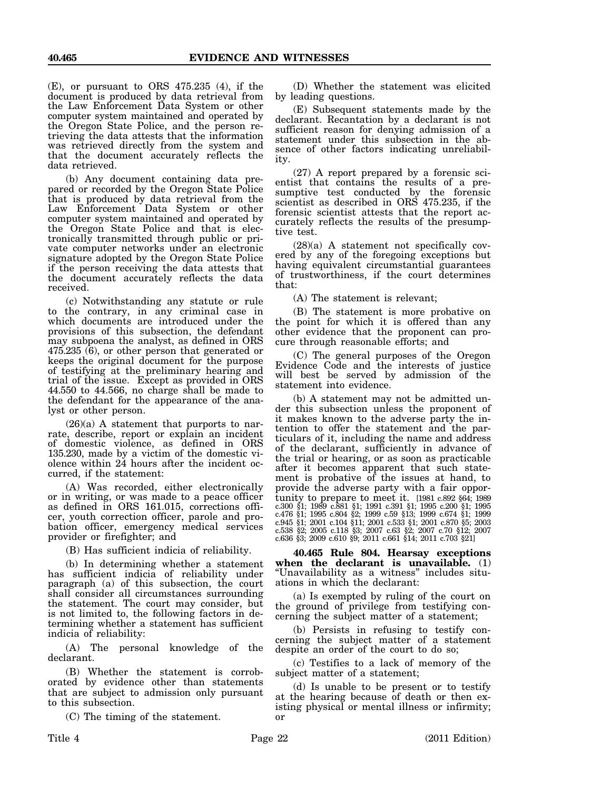(E), or pursuant to ORS 475.235 (4), if the document is produced by data retrieval from the Law Enforcement Data System or other computer system maintained and operated by the Oregon State Police, and the person retrieving the data attests that the information was retrieved directly from the system and that the document accurately reflects the data retrieved.

(b) Any document containing data prepared or recorded by the Oregon State Police that is produced by data retrieval from the Law Enforcement Data System or other computer system maintained and operated by the Oregon State Police and that is electronically transmitted through public or private computer networks under an electronic signature adopted by the Oregon State Police if the person receiving the data attests that the document accurately reflects the data received.

(c) Notwithstanding any statute or rule to the contrary, in any criminal case in which documents are introduced under the provisions of this subsection, the defendant may subpoena the analyst, as defined in ORS 475.235 (6), or other person that generated or keeps the original document for the purpose of testifying at the preliminary hearing and trial of the issue. Except as provided in ORS 44.550 to 44.566, no charge shall be made to the defendant for the appearance of the analyst or other person.

 $(26)(a)$  A statement that purports to narrate, describe, report or explain an incident of domestic violence, as defined in ORS 135.230, made by a victim of the domestic violence within 24 hours after the incident occurred, if the statement:

(A) Was recorded, either electronically or in writing, or was made to a peace officer as defined in ORS 161.015, corrections officer, youth correction officer, parole and probation officer, emergency medical services provider or firefighter; and

(B) Has sufficient indicia of reliability.

(b) In determining whether a statement has sufficient indicia of reliability under paragraph (a) of this subsection, the court shall consider all circumstances surrounding the statement. The court may consider, but is not limited to, the following factors in determining whether a statement has sufficient indicia of reliability:

(A) The personal knowledge of the declarant.

(B) Whether the statement is corroborated by evidence other than statements that are subject to admission only pursuant to this subsection.

(C) The timing of the statement.

(D) Whether the statement was elicited by leading questions.

(E) Subsequent statements made by the declarant. Recantation by a declarant is not sufficient reason for denying admission of a statement under this subsection in the absence of other factors indicating unreliability.

(27) A report prepared by a forensic scientist that contains the results of a presumptive test conducted by the forensic scientist as described in ORS 475.235, if the forensic scientist attests that the report accurately reflects the results of the presumptive test.

(28)(a) A statement not specifically covered by any of the foregoing exceptions but having equivalent circumstantial guarantees of trustworthiness, if the court determines that:

(A) The statement is relevant;

(B) The statement is more probative on the point for which it is offered than any other evidence that the proponent can procure through reasonable efforts; and

(C) The general purposes of the Oregon Evidence Code and the interests of justice will best be served by admission of the statement into evidence.

(b) A statement may not be admitted under this subsection unless the proponent of it makes known to the adverse party the intention to offer the statement and the particulars of it, including the name and address of the declarant, sufficiently in advance of the trial or hearing, or as soon as practicable after it becomes apparent that such statement is probative of the issues at hand, to provide the adverse party with a fair opportunity to prepare to meet it. [1981 c.892 §64; 1989 c.300 §1; 1989 c.881 §1; 1991 c.391 §1; 1995 c.200 §1; 1995 c.476 §1; 1995 c.804 §2; 1999 c.59 §13; 1999 c.674 §1; 1999 c.945 §1; 2001 c.104 §11; 2001 c.533 §1; 2001 c.870 §5; 2003 c.538 §2; 2005 c.118 §3; 2007 c.63 §2; 2007 c.70 §12; 2007 c.636 §3; 2009 c.610 §9; 2011 c.661 §14; 2011 c.703 §21]

**40.465 Rule 804. Hearsay exceptions when the declarant is unavailable.** (1) "Unavailability as a witness" includes situations in which the declarant:

(a) Is exempted by ruling of the court on the ground of privilege from testifying concerning the subject matter of a statement;

(b) Persists in refusing to testify concerning the subject matter of a statement despite an order of the court to do so;

(c) Testifies to a lack of memory of the subject matter of a statement;

(d) Is unable to be present or to testify at the hearing because of death or then existing physical or mental illness or infirmity; or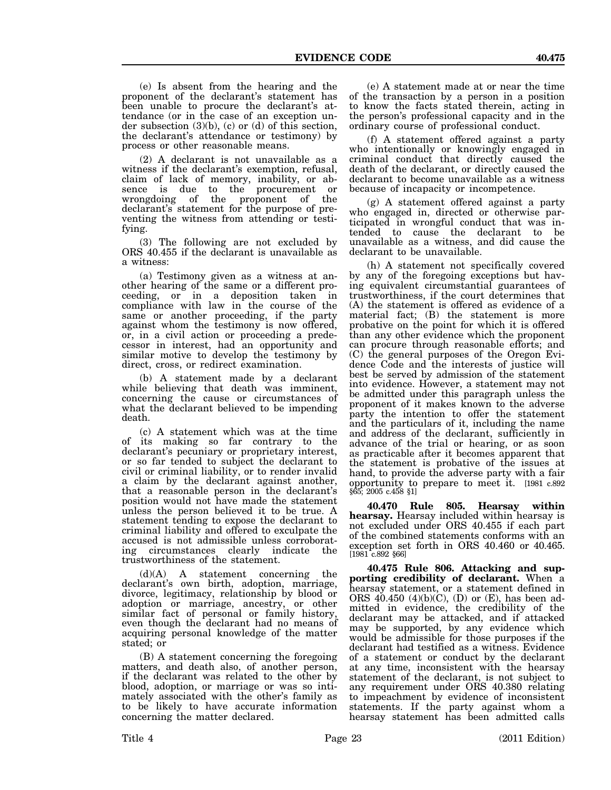(e) Is absent from the hearing and the proponent of the declarant's statement has been unable to procure the declarant's attendance (or in the case of an exception under subsection  $(3)(b)$ ,  $(c)$  or  $(d)$  of this section, the declarant's attendance or testimony) by process or other reasonable means.

(2) A declarant is not unavailable as a witness if the declarant's exemption, refusal, claim of lack of memory, inability, or absence is due to the procurement or wrongdoing of the proponent of the declarant's statement for the purpose of preventing the witness from attending or testifying.

(3) The following are not excluded by ORS 40.455 if the declarant is unavailable as a witness:

(a) Testimony given as a witness at another hearing of the same or a different proceeding, or in a deposition taken in compliance with law in the course of the same or another proceeding, if the party against whom the testimony is now offered, or, in a civil action or proceeding a predecessor in interest, had an opportunity and similar motive to develop the testimony by direct, cross, or redirect examination.

(b) A statement made by a declarant while believing that death was imminent, concerning the cause or circumstances of what the declarant believed to be impending death.

(c) A statement which was at the time of its making so far contrary to the declarant's pecuniary or proprietary interest, or so far tended to subject the declarant to civil or criminal liability, or to render invalid a claim by the declarant against another, that a reasonable person in the declarant's position would not have made the statement unless the person believed it to be true. A statement tending to expose the declarant to criminal liability and offered to exculpate the accused is not admissible unless corroborating circumstances clearly indicate the trustworthiness of the statement.

(d)(A) A statement concerning the declarant's own birth, adoption, marriage, divorce, legitimacy, relationship by blood or adoption or marriage, ancestry, or other similar fact of personal or family history, even though the declarant had no means of acquiring personal knowledge of the matter stated; or

(B) A statement concerning the foregoing matters, and death also, of another person, if the declarant was related to the other by blood, adoption, or marriage or was so intimately associated with the other's family as to be likely to have accurate information concerning the matter declared.

(e) A statement made at or near the time of the transaction by a person in a position to know the facts stated therein, acting in the person's professional capacity and in the ordinary course of professional conduct.

(f) A statement offered against a party who intentionally or knowingly engaged in criminal conduct that directly caused the death of the declarant, or directly caused the declarant to become unavailable as a witness because of incapacity or incompetence.

(g) A statement offered against a party who engaged in, directed or otherwise participated in wrongful conduct that was intended to cause the declarant to be unavailable as a witness, and did cause the declarant to be unavailable.

(h) A statement not specifically covered by any of the foregoing exceptions but having equivalent circumstantial guarantees of trustworthiness, if the court determines that (A) the statement is offered as evidence of a material fact; (B) the statement is more probative on the point for which it is offered than any other evidence which the proponent can procure through reasonable efforts; and (C) the general purposes of the Oregon Evidence Code and the interests of justice will best be served by admission of the statement into evidence. However, a statement may not be admitted under this paragraph unless the proponent of it makes known to the adverse party the intention to offer the statement and the particulars of it, including the name and address of the declarant, sufficiently in advance of the trial or hearing, or as soon as practicable after it becomes apparent that the statement is probative of the issues at hand, to provide the adverse party with a fair opportunity to prepare to meet it. [1981 c.892 §65; 2005 c.458 §1]

**40.470 Rule 805. Hearsay within hearsay.** Hearsay included within hearsay is not excluded under ORS 40.455 if each part of the combined statements conforms with an exception set forth in ORS 40.460 or 40.465. [1981<sup>-</sup>c.892 §66]

**40.475 Rule 806. Attacking and supporting credibility of declarant.** When a hearsay statement, or a statement defined in ORS  $40.450$  (4)(b)(C), (D) or (E), has been admitted in evidence, the credibility of the declarant may be attacked, and if attacked may be supported, by any evidence which would be admissible for those purposes if the declarant had testified as a witness. Evidence of a statement or conduct by the declarant at any time, inconsistent with the hearsay statement of the declarant, is not subject to any requirement under ORS 40.380 relating to impeachment by evidence of inconsistent statements. If the party against whom a hearsay statement has been admitted calls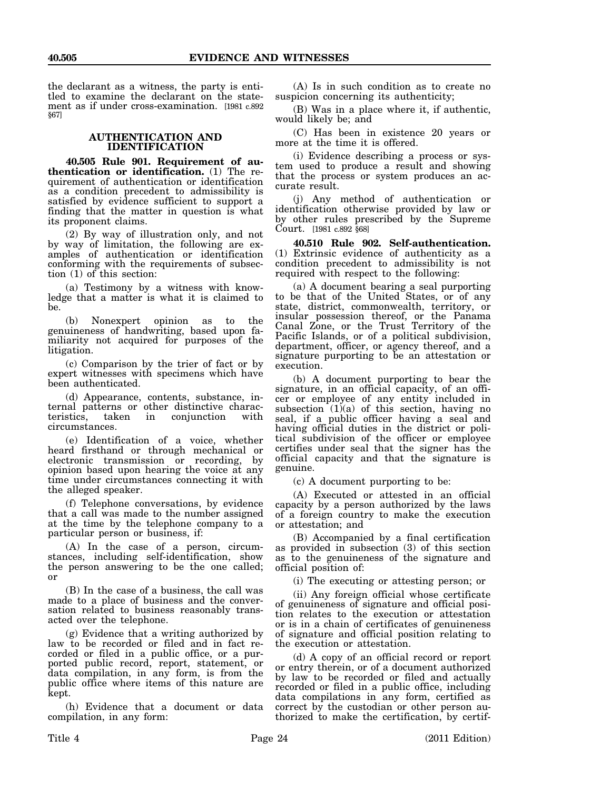the declarant as a witness, the party is entitled to examine the declarant on the statement as if under cross-examination. [1981 c.892 §67]

#### **AUTHENTICATION AND IDENTIFICATION**

**40.505 Rule 901. Requirement of authentication or identification.** (1) The requirement of authentication or identification as a condition precedent to admissibility is satisfied by evidence sufficient to support a finding that the matter in question is what its proponent claims.

(2) By way of illustration only, and not by way of limitation, the following are examples of authentication or identification conforming with the requirements of subsection (1) of this section:

(a) Testimony by a witness with knowledge that a matter is what it is claimed to be.

(b) Nonexpert opinion as to the genuineness of handwriting, based upon familiarity not acquired for purposes of the litigation.

(c) Comparison by the trier of fact or by expert witnesses with specimens which have been authenticated.

(d) Appearance, contents, substance, internal patterns or other distinctive charac-<br>teristics. taken in conjunction with taken in conjunction with circumstances.

(e) Identification of a voice, whether heard firsthand or through mechanical or electronic transmission or recording, by opinion based upon hearing the voice at any time under circumstances connecting it with the alleged speaker.

(f) Telephone conversations, by evidence that a call was made to the number assigned at the time by the telephone company to a particular person or business, if:

(A) In the case of a person, circumstances, including self-identification, show the person answering to be the one called; or

(B) In the case of a business, the call was made to a place of business and the conversation related to business reasonably transacted over the telephone.

(g) Evidence that a writing authorized by law to be recorded or filed and in fact recorded or filed in a public office, or a purported public record, report, statement, or data compilation, in any form, is from the public office where items of this nature are kept.

(h) Evidence that a document or data compilation, in any form:

(A) Is in such condition as to create no suspicion concerning its authenticity;

(B) Was in a place where it, if authentic, would likely be; and

(C) Has been in existence 20 years or more at the time it is offered.

(i) Evidence describing a process or system used to produce a result and showing that the process or system produces an accurate result.

(j) Any method of authentication or identification otherwise provided by law or by other rules prescribed by the Supreme Court. [1981 c.892 §68]

**40.510 Rule 902. Self-authentication.** (1) Extrinsic evidence of authenticity as a condition precedent to admissibility is not required with respect to the following:

(a) A document bearing a seal purporting to be that of the United States, or of any state, district, commonwealth, territory, or insular possession thereof, or the Panama Canal Zone, or the Trust Territory of the Pacific Islands, or of a political subdivision, department, officer, or agency thereof, and a signature purporting to be an attestation or execution.

(b) A document purporting to bear the signature, in an official capacity, of an officer or employee of any entity included in subsection  $(1)(a)$  of this section, having no seal, if a public officer having a seal and having official duties in the district or political subdivision of the officer or employee certifies under seal that the signer has the official capacity and that the signature is genuine.

(c) A document purporting to be:

(A) Executed or attested in an official capacity by a person authorized by the laws of a foreign country to make the execution or attestation; and

(B) Accompanied by a final certification as provided in subsection (3) of this section as to the genuineness of the signature and official position of:

(i) The executing or attesting person; or

(ii) Any foreign official whose certificate of genuineness of signature and official position relates to the execution or attestation or is in a chain of certificates of genuineness of signature and official position relating to the execution or attestation.

(d) A copy of an official record or report or entry therein, or of a document authorized by law to be recorded or filed and actually recorded or filed in a public office, including data compilations in any form, certified as correct by the custodian or other person authorized to make the certification, by certif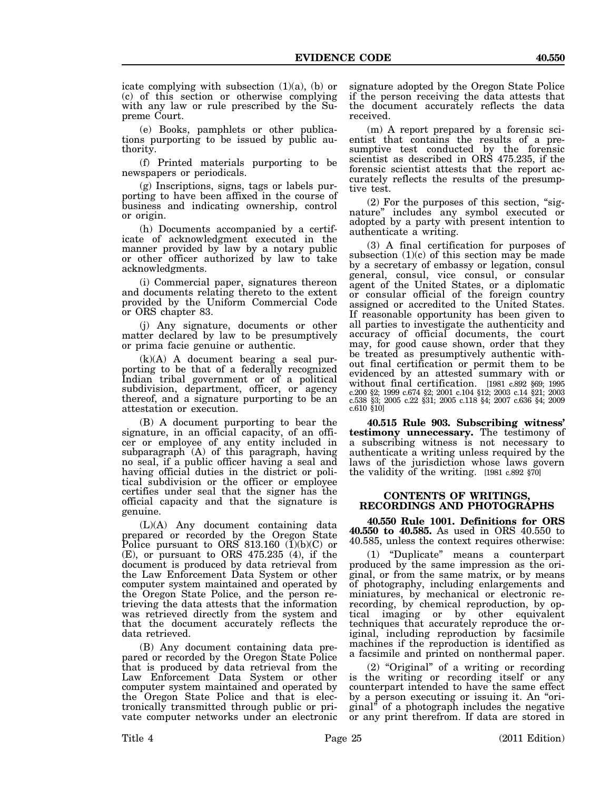icate complying with subsection  $(1)(a)$ ,  $(b)$  or (c) of this section or otherwise complying with any law or rule prescribed by the Supreme Court.

(e) Books, pamphlets or other publications purporting to be issued by public authority.

(f) Printed materials purporting to be newspapers or periodicals.

(g) Inscriptions, signs, tags or labels purporting to have been affixed in the course of business and indicating ownership, control or origin.

(h) Documents accompanied by a certificate of acknowledgment executed in the manner provided by law by a notary public or other officer authorized by law to take acknowledgments.

(i) Commercial paper, signatures thereon and documents relating thereto to the extent provided by the Uniform Commercial Code or ORS chapter 83.

(j) Any signature, documents or other matter declared by law to be presumptively or prima facie genuine or authentic.

(k)(A) A document bearing a seal purporting to be that of a federally recognized Indian tribal government or of a political subdivision, department, officer, or agency thereof, and a signature purporting to be an attestation or execution.

(B) A document purporting to bear the signature, in an official capacity, of an officer or employee of any entity included in subparagraph (A) of this paragraph, having no seal, if a public officer having a seal and having official duties in the district or political subdivision or the officer or employee certifies under seal that the signer has the official capacity and that the signature is genuine.

(L)(A) Any document containing data prepared or recorded by the Oregon State Police pursuant to ORS 813.160  $(I)(b)(C)$  or (E), or pursuant to ORS 475.235 (4), if the document is produced by data retrieval from the Law Enforcement Data System or other computer system maintained and operated by the Oregon State Police, and the person retrieving the data attests that the information was retrieved directly from the system and that the document accurately reflects the data retrieved.

(B) Any document containing data prepared or recorded by the Oregon State Police that is produced by data retrieval from the Law Enforcement Data System or other computer system maintained and operated by the Oregon State Police and that is electronically transmitted through public or private computer networks under an electronic

signature adopted by the Oregon State Police if the person receiving the data attests that the document accurately reflects the data received.

(m) A report prepared by a forensic scientist that contains the results of a presumptive test conducted by the forensic scientist as described in ORS 475.235, if the forensic scientist attests that the report accurately reflects the results of the presumptive test.

(2) For the purposes of this section, "signature" includes any symbol executed or adopted by a party with present intention to authenticate a writing.

(3) A final certification for purposes of subsection  $(1)(c)$  of this section may be made by a secretary of embassy or legation, consul general, consul, vice consul, or consular agent of the United States, or a diplomatic or consular official of the foreign country assigned or accredited to the United States. If reasonable opportunity has been given to all parties to investigate the authenticity and accuracy of official documents, the court may, for good cause shown, order that they be treated as presumptively authentic without final certification or permit them to be evidenced by an attested summary with or without final certification. [1981 c.892 §69; 1995 c.200 §2; 1999 c.674 §2; 2001 c.104 §12; 2003 c.14 §21; 2003 c.538 §3; 2005 c.22 §31; 2005 c.118 §4; 2007 c.636 §4; 2009 c.610 §10]

**40.515 Rule 903. Subscribing witness' testimony unnecessary.** The testimony of a subscribing witness is not necessary to authenticate a writing unless required by the laws of the jurisdiction whose laws govern the validity of the writing. [1981 c.892 §70]

### **CONTENTS OF WRITINGS, RECORDINGS AND PHOTOGRAPHS**

**40.550 Rule 1001. Definitions for ORS 40.550 to 40.585.** As used in ORS 40.550 to 40.585, unless the context requires otherwise:

(1) "Duplicate" means a counterpart produced by the same impression as the original, or from the same matrix, or by means of photography, including enlargements and miniatures, by mechanical or electronic rerecording, by chemical reproduction, by optical imaging or by other equivalent techniques that accurately reproduce the original, including reproduction by facsimile machines if the reproduction is identified as a facsimile and printed on nonthermal paper.

(2) "Original" of a writing or recording is the writing or recording itself or any counterpart intended to have the same effect by a person executing or issuing it. An "original" of a photograph includes the negative or any print therefrom. If data are stored in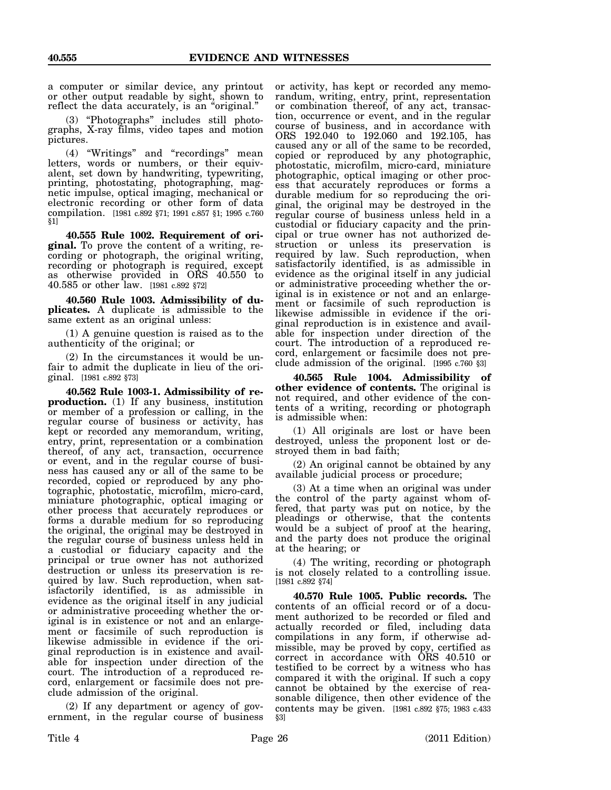a computer or similar device, any printout or other output readable by sight, shown to reflect the data accurately, is an "original."

(3) "Photographs" includes still photographs, X-ray films, video tapes and motion pictures.

(4) "Writings" and "recordings" mean letters, words or numbers, or their equivalent, set down by handwriting, typewriting, printing, photostating, photographing, magnetic impulse, optical imaging, mechanical or electronic recording or other form of data compilation. [1981 c.892 §71; 1991 c.857 §1; 1995 c.760 §1]

**40.555 Rule 1002. Requirement of original.** To prove the content of a writing, recording or photograph, the original writing, recording or photograph is required, except as otherwise provided in ORS 40.550 to 40.585 or other law. [1981 c.892 §72]

**40.560 Rule 1003. Admissibility of duplicates.** A duplicate is admissible to the same extent as an original unless:

(1) A genuine question is raised as to the authenticity of the original; or

(2) In the circumstances it would be unfair to admit the duplicate in lieu of the original. [1981 c.892 §73]

**40.562 Rule 1003-1. Admissibility of reproduction.** (1) If any business, institution or member of a profession or calling, in the regular course of business or activity, has kept or recorded any memorandum, writing, entry, print, representation or a combination thereof, of any act, transaction, occurrence or event, and in the regular course of business has caused any or all of the same to be recorded, copied or reproduced by any photographic, photostatic, microfilm, micro-card, miniature photographic, optical imaging or other process that accurately reproduces or forms a durable medium for so reproducing the original, the original may be destroyed in the regular course of business unless held in a custodial or fiduciary capacity and the principal or true owner has not authorized destruction or unless its preservation is required by law. Such reproduction, when satisfactorily identified, is as admissible in evidence as the original itself in any judicial or administrative proceeding whether the original is in existence or not and an enlargement or facsimile of such reproduction is likewise admissible in evidence if the original reproduction is in existence and available for inspection under direction of the court. The introduction of a reproduced record, enlargement or facsimile does not preclude admission of the original.

(2) If any department or agency of government, in the regular course of business or activity, has kept or recorded any memorandum, writing, entry, print, representation or combination thereof, of any act, transaction, occurrence or event, and in the regular course of business, and in accordance with ORS 192.040 to 192.060 and 192.105, has caused any or all of the same to be recorded, copied or reproduced by any photographic, photostatic, microfilm, micro-card, miniature photographic, optical imaging or other process that accurately reproduces or forms a durable medium for so reproducing the original, the original may be destroyed in the regular course of business unless held in a custodial or fiduciary capacity and the principal or true owner has not authorized destruction or unless its preservation is required by law. Such reproduction, when satisfactorily identified, is as admissible in evidence as the original itself in any judicial or administrative proceeding whether the original is in existence or not and an enlargement or facsimile of such reproduction is likewise admissible in evidence if the original reproduction is in existence and available for inspection under direction of the court. The introduction of a reproduced record, enlargement or facsimile does not preclude admission of the original. [1995 c.760 §3]

**40.565 Rule 1004. Admissibility of other evidence of contents.** The original is not required, and other evidence of the contents of a writing, recording or photograph is admissible when:

(1) All originals are lost or have been destroyed, unless the proponent lost or destroyed them in bad faith;

(2) An original cannot be obtained by any available judicial process or procedure;

(3) At a time when an original was under the control of the party against whom offered, that party was put on notice, by the pleadings or otherwise, that the contents would be a subject of proof at the hearing, and the party does not produce the original at the hearing; or

(4) The writing, recording or photograph is not closely related to a controlling issue. [1981 c.892 §74]

**40.570 Rule 1005. Public records.** The contents of an official record or of a document authorized to be recorded or filed and actually recorded or filed, including data compilations in any form, if otherwise admissible, may be proved by copy, certified as correct in accordance with ORS 40.510 or testified to be correct by a witness who has compared it with the original. If such a copy cannot be obtained by the exercise of reasonable diligence, then other evidence of the contents may be given. [1981 c.892 §75; 1983 c.433 §3]